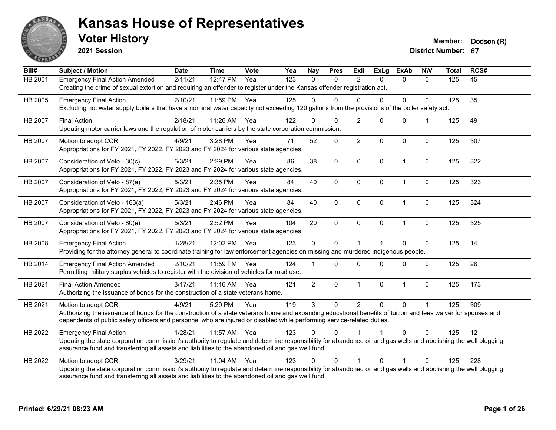

**2021 Session**

**Voter History Member: Dodson** (R)

| Bill#          | Subject / Motion                                                                                                                                                                                                                                                                                                | <b>Date</b> | <b>Time</b> | <b>Vote</b> | Yea | <b>Nay</b>     | <b>Pres</b>  | <b>Exll</b>    | <b>ExLg</b>  | <b>ExAb</b>    | <b>NIV</b>  | <b>Total</b> | RCS# |
|----------------|-----------------------------------------------------------------------------------------------------------------------------------------------------------------------------------------------------------------------------------------------------------------------------------------------------------------|-------------|-------------|-------------|-----|----------------|--------------|----------------|--------------|----------------|-------------|--------------|------|
| <b>HB 2001</b> | <b>Emergency Final Action Amended</b><br>Creating the crime of sexual extortion and requiring an offender to register under the Kansas offender registration act.                                                                                                                                               | 2/11/21     | 12:47 PM    | Yea         | 123 | $\Omega$       | $\mathbf{0}$ | $\overline{2}$ | $\Omega$     | $\Omega$       | $\Omega$    | 125          | 45   |
| HB 2005        | <b>Emergency Final Action</b><br>Excluding hot water supply boilers that have a nominal water capacity not exceeding 120 gallons from the provisions of the boiler safety act.                                                                                                                                  | 2/10/21     | 11:59 PM    | Yea         | 125 | $\Omega$       | $\Omega$     | $\Omega$       | $\Omega$     | $\Omega$       | $\Omega$    | 125          | 35   |
| HB 2007        | <b>Final Action</b><br>Updating motor carrier laws and the regulation of motor carriers by the state corporation commission.                                                                                                                                                                                    | 2/18/21     | 11:26 AM    | Yea         | 122 | $\Omega$       | $\Omega$     | $\overline{2}$ | $\Omega$     | $\mathbf 0$    | 1           | 125          | 49   |
| HB 2007        | Motion to adopt CCR<br>Appropriations for FY 2021, FY 2022, FY 2023 and FY 2024 for various state agencies.                                                                                                                                                                                                     | 4/9/21      | 3:28 PM     | Yea         | 71  | 52             | $\mathbf 0$  | $\overline{2}$ | $\Omega$     | $\mathbf 0$    | 0           | 125          | 307  |
| HB 2007        | Consideration of Veto - 30(c)<br>Appropriations for FY 2021, FY 2022, FY 2023 and FY 2024 for various state agencies.                                                                                                                                                                                           | 5/3/21      | 2:29 PM     | Yea         | 86  | 38             | $\mathbf 0$  | $\mathbf 0$    | $\mathbf 0$  | $\overline{1}$ | $\mathbf 0$ | 125          | 322  |
| <b>HB 2007</b> | Consideration of Veto - 87(a)<br>Appropriations for FY 2021, FY 2022, FY 2023 and FY 2024 for various state agencies.                                                                                                                                                                                           | 5/3/21      | 2:35 PM     | Yea         | 84  | 40             | $\mathbf 0$  | $\mathbf{0}$   | $\Omega$     | $\mathbf{1}$   | 0           | 125          | 323  |
| HB 2007        | Consideration of Veto - 163(a)<br>Appropriations for FY 2021, FY 2022, FY 2023 and FY 2024 for various state agencies.                                                                                                                                                                                          | 5/3/21      | 2:46 PM     | Yea         | 84  | 40             | $\mathbf 0$  | $\mathbf 0$    | 0            | $\mathbf{1}$   | $\pmb{0}$   | 125          | 324  |
| HB 2007        | Consideration of Veto - 80(e)<br>Appropriations for FY 2021, FY 2022, FY 2023 and FY 2024 for various state agencies.                                                                                                                                                                                           | 5/3/21      | 2:52 PM     | Yea         | 104 | 20             | $\mathbf{0}$ | $\Omega$       | $\Omega$     | $\overline{1}$ | $\mathbf 0$ | 125          | 325  |
| HB 2008        | <b>Emergency Final Action</b><br>Providing for the attorney general to coordinate training for law enforcement agencies on missing and murdered indigenous people.                                                                                                                                              | 1/28/21     | 12:02 PM    | Yea         | 123 | $\mathbf 0$    | $\Omega$     | $\overline{1}$ |              | $\Omega$       | $\mathbf 0$ | 125          | 14   |
| HB 2014        | <b>Emergency Final Action Amended</b><br>Permitting military surplus vehicles to register with the division of vehicles for road use.                                                                                                                                                                           | 2/10/21     | 11:59 PM    | Yea         | 124 |                | $\Omega$     | $\Omega$       | $\Omega$     | $\Omega$       | $\Omega$    | 125          | 26   |
| HB 2021        | <b>Final Action Amended</b><br>Authorizing the issuance of bonds for the construction of a state veterans home.                                                                                                                                                                                                 | 3/17/21     | $11:16$ AM  | Yea         | 121 | $\overline{2}$ | $\mathbf{0}$ | $\mathbf{1}$   | $\mathbf{0}$ | $\overline{1}$ | $\Omega$    | 125          | 173  |
| HB 2021        | Motion to adopt CCR<br>Authorizing the issuance of bonds for the construction of a state veterans home and expanding educational benefits of tuition and fees waiver for spouses and<br>dependents of public safety officers and personnel who are injured or disabled while performing service-related duties. | 4/9/21      | 5:29 PM     | Yea         | 119 | 3              | $\Omega$     | $\overline{2}$ | $\Omega$     | $\Omega$       | 1           | 125          | 309  |
| HB 2022        | <b>Emergency Final Action</b><br>Updating the state corporation commission's authority to regulate and determine responsibility for abandoned oil and gas wells and abolishing the well plugging<br>assurance fund and transferring all assets and liabilities to the abandoned oil and gas well fund.          | 1/28/21     | 11:57 AM    | Yea         | 123 | $\Omega$       | $\Omega$     |                |              | $\Omega$       | $\Omega$    | 125          | 12   |
| HB 2022        | Motion to adopt CCR<br>Updating the state corporation commission's authority to regulate and determine responsibility for abandoned oil and gas wells and abolishing the well plugging<br>assurance fund and transferring all assets and liabilities to the abandoned oil and gas well fund.                    | 3/29/21     | 11:04 AM    | Yea         | 123 | $\Omega$       | $\Omega$     | 1              | $\Omega$     | 1              | $\Omega$    | 125          | 228  |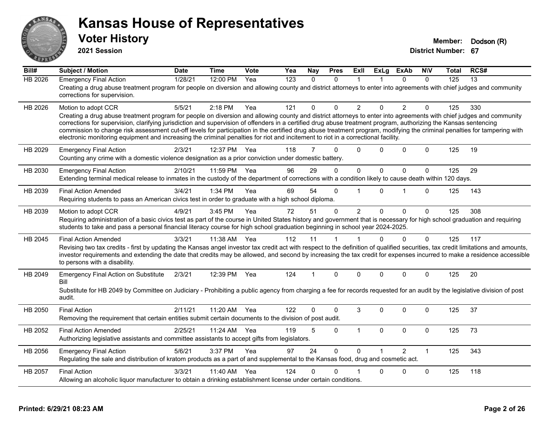

**2021 Session**

| Bill#          | <b>Subject / Motion</b>                                                                                                                                                                                                                                                                                                                                                                                                                                                                                             | <b>Date</b> | <b>Time</b> | Vote | Yea              | Nay      | <b>Pres</b> | ExII           | <b>ExLg</b>  | <b>ExAb</b>    | <b>NIV</b>   | Total | RCS# |
|----------------|---------------------------------------------------------------------------------------------------------------------------------------------------------------------------------------------------------------------------------------------------------------------------------------------------------------------------------------------------------------------------------------------------------------------------------------------------------------------------------------------------------------------|-------------|-------------|------|------------------|----------|-------------|----------------|--------------|----------------|--------------|-------|------|
| <b>HB 2026</b> | <b>Emergency Final Action</b>                                                                                                                                                                                                                                                                                                                                                                                                                                                                                       | 1/28/21     | 12:00 PM    | Yea  | $\overline{123}$ | $\Omega$ | $\Omega$    | $\mathbf 1$    |              | $\Omega$       | $\mathbf{0}$ | 125   | 13   |
|                | Creating a drug abuse treatment program for people on diversion and allowing county and district attorneys to enter into agreements with chief judges and community<br>corrections for supervision.                                                                                                                                                                                                                                                                                                                 |             |             |      |                  |          |             |                |              |                |              |       |      |
| HB 2026        | Motion to adopt CCR                                                                                                                                                                                                                                                                                                                                                                                                                                                                                                 | 5/5/21      | 2:18 PM     | Yea  | 121              | 0        | $\Omega$    | $\overline{2}$ | $\Omega$     | $\overline{2}$ | 0            | 125   | 330  |
|                | Creating a drug abuse treatment program for people on diversion and allowing county and district attorneys to enter into agreements with chief judges and community<br>corrections for supervision, clarifying jurisdiction and supervision of offenders in a certified drug abuse treatment program, authorizing the Kansas sentencing<br>commission to change risk assessment cut-off levels for participation in the certified drug abuse treatment program, modifying the criminal penalties for tampering with |             |             |      |                  |          |             |                |              |                |              |       |      |
|                | electronic monitoring equipment and increasing the criminal penalties for riot and incitement to riot in a correctional facility.                                                                                                                                                                                                                                                                                                                                                                                   |             |             |      |                  |          |             |                |              |                |              |       |      |
| HB 2029        | <b>Emergency Final Action</b>                                                                                                                                                                                                                                                                                                                                                                                                                                                                                       | 2/3/21      | 12:37 PM    | Yea  | 118              | 7        | $\Omega$    | $\Omega$       | $\Omega$     | $\Omega$       | $\Omega$     | 125   | 19   |
|                | Counting any crime with a domestic violence designation as a prior conviction under domestic battery.                                                                                                                                                                                                                                                                                                                                                                                                               |             |             |      |                  |          |             |                |              |                |              |       |      |
| HB 2030        | <b>Emergency Final Action</b>                                                                                                                                                                                                                                                                                                                                                                                                                                                                                       | 2/10/21     | 11:59 PM    | Yea  | 96               | 29       | $\Omega$    | $\mathbf{0}$   | $\mathbf{0}$ | $\Omega$       | $\mathbf 0$  | 125   | 29   |
|                | Extending terminal medical release to inmates in the custody of the department of corrections with a condition likely to cause death within 120 days.                                                                                                                                                                                                                                                                                                                                                               |             |             |      |                  |          |             |                |              |                |              |       |      |
| HB 2039        | <b>Final Action Amended</b>                                                                                                                                                                                                                                                                                                                                                                                                                                                                                         | 3/4/21      | 1:34 PM     | Yea  | 69               | 54       | $\Omega$    | 1              | $\Omega$     | 1              | $\Omega$     | 125   | 143  |
|                | Requiring students to pass an American civics test in order to graduate with a high school diploma.                                                                                                                                                                                                                                                                                                                                                                                                                 |             |             |      |                  |          |             |                |              |                |              |       |      |
| HB 2039        | Motion to adopt CCR                                                                                                                                                                                                                                                                                                                                                                                                                                                                                                 | 4/9/21      | 3:45 PM     | Yea  | 72               | 51       | $\Omega$    | $\overline{2}$ | $\Omega$     | $\Omega$       | $\mathbf 0$  | 125   | 308  |
|                | Requiring administration of a basic civics test as part of the course in United States history and government that is necessary for high school graduation and requiring<br>students to take and pass a personal financial literacy course for high school graduation beginning in school year 2024-2025.                                                                                                                                                                                                           |             |             |      |                  |          |             |                |              |                |              |       |      |
| HB 2045        | <b>Final Action Amended</b>                                                                                                                                                                                                                                                                                                                                                                                                                                                                                         | 3/3/21      | 11:38 AM    | Yea  | 112              | 11       | 1           |                | $\Omega$     | $\mathbf 0$    | $\mathbf{0}$ | 125   | 117  |
|                | Revising two tax credits - first by updating the Kansas angel investor tax credit act with respect to the definition of qualified securities, tax credit limitations and amounts,<br>investor requirements and extending the date that credits may be allowed, and second by increasing the tax credit for expenses incurred to make a residence accessible<br>to persons with a disability.                                                                                                                        |             |             |      |                  |          |             |                |              |                |              |       |      |
| HB 2049        | <b>Emergency Final Action on Substitute</b><br>Bill                                                                                                                                                                                                                                                                                                                                                                                                                                                                 | 2/3/21      | 12:39 PM    | Yea  | 124              | 1        | $\Omega$    | $\Omega$       | $\Omega$     | $\Omega$       | $\Omega$     | 125   | 20   |
|                | Substitute for HB 2049 by Committee on Judiciary - Prohibiting a public agency from charging a fee for records requested for an audit by the legislative division of post<br>audit.                                                                                                                                                                                                                                                                                                                                 |             |             |      |                  |          |             |                |              |                |              |       |      |
| HB 2050        | <b>Final Action</b>                                                                                                                                                                                                                                                                                                                                                                                                                                                                                                 | 2/11/21     | 11:20 AM    | Yea  | 122              | 0        | $\Omega$    | 3              | $\Omega$     | $\Omega$       | $\Omega$     | 125   | 37   |
|                | Removing the requirement that certain entities submit certain documents to the division of post audit.                                                                                                                                                                                                                                                                                                                                                                                                              |             |             |      |                  |          |             |                |              |                |              |       |      |
| HB 2052        | <b>Final Action Amended</b>                                                                                                                                                                                                                                                                                                                                                                                                                                                                                         | 2/25/21     | 11:24 AM    | Yea  | 119              | 5        | $\mathbf 0$ | $\mathbf{1}$   | $\mathbf 0$  | 0              | $\mathbf 0$  | 125   | 73   |
|                | Authorizing legislative assistants and committee assistants to accept gifts from legislators.                                                                                                                                                                                                                                                                                                                                                                                                                       |             |             |      |                  |          |             |                |              |                |              |       |      |
| HB 2056        | <b>Emergency Final Action</b>                                                                                                                                                                                                                                                                                                                                                                                                                                                                                       | 5/6/21      | 3:37 PM     | Yea  | 97               | 24       | $\Omega$    | $\Omega$       | $\mathbf{1}$ | $\mathcal{P}$  | $\mathbf{1}$ | 125   | 343  |
|                | Regulating the sale and distribution of kratom products as a part of and supplemental to the Kansas food, drug and cosmetic act.                                                                                                                                                                                                                                                                                                                                                                                    |             |             |      |                  |          |             |                |              |                |              |       |      |
| HB 2057        | <b>Final Action</b>                                                                                                                                                                                                                                                                                                                                                                                                                                                                                                 | 3/3/21      | 11:40 AM    | Yea  | 124              | 0        | $\Omega$    |                | $\Omega$     | 0              | $\mathbf 0$  | 125   | 118  |
|                | Allowing an alcoholic liquor manufacturer to obtain a drinking establishment license under certain conditions.                                                                                                                                                                                                                                                                                                                                                                                                      |             |             |      |                  |          |             |                |              |                |              |       |      |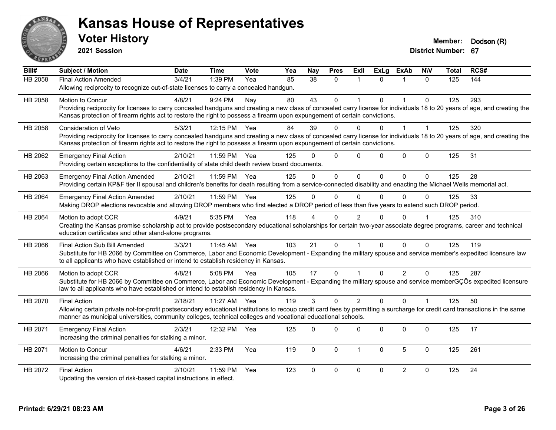

**2021 Session**

| Bill#   | <b>Subject / Motion</b>                                                                                                                                                      | <b>Date</b> | <b>Time</b> | <b>Vote</b> | Yea | <b>Nay</b> | <b>Pres</b>  | ExII           | <b>ExLg</b>  | <b>ExAb</b>    | <b>NIV</b>   | <b>Total</b> | RCS# |
|---------|------------------------------------------------------------------------------------------------------------------------------------------------------------------------------|-------------|-------------|-------------|-----|------------|--------------|----------------|--------------|----------------|--------------|--------------|------|
| HB 2058 | <b>Final Action Amended</b>                                                                                                                                                  | 3/4/21      | 1:39 PM     | Yea         | 85  | 38         | $\Omega$     | -1             | $\Omega$     | 1              | $\Omega$     | 125          | 144  |
|         | Allowing reciprocity to recognize out-of-state licenses to carry a concealed handgun.                                                                                        |             |             |             |     |            |              |                |              |                |              |              |      |
| HB 2058 | Motion to Concur                                                                                                                                                             | 4/8/21      | 9:24 PM     | Nay         | 80  | 43         | $\mathbf{0}$ | 1              | $\Omega$     | $\mathbf{1}$   | $\mathbf{0}$ | 125          | 293  |
|         | Providing reciprocity for licenses to carry concealed handguns and creating a new class of concealed carry license for individuals 18 to 20 years of age, and creating the   |             |             |             |     |            |              |                |              |                |              |              |      |
|         | Kansas protection of firearm rights act to restore the right to possess a firearm upon expungement of certain convictions.                                                   |             |             |             |     |            |              |                |              |                |              |              |      |
| HB 2058 | <b>Consideration of Veto</b>                                                                                                                                                 | 5/3/21      | 12:15 PM    | Yea         | 84  | 39         | $\Omega$     | $\Omega$       | $\Omega$     | $\overline{1}$ | $\mathbf 1$  | 125          | 320  |
|         | Providing reciprocity for licenses to carry concealed handguns and creating a new class of concealed carry license for individuals 18 to 20 years of age, and creating the   |             |             |             |     |            |              |                |              |                |              |              |      |
|         | Kansas protection of firearm rights act to restore the right to possess a firearm upon expungement of certain convictions.                                                   |             |             |             |     |            |              |                |              |                |              |              |      |
| HB 2062 | <b>Emergency Final Action</b>                                                                                                                                                | 2/10/21     | 11:59 PM    | Yea         | 125 | U          | $\mathbf{0}$ | $\Omega$       | $\Omega$     | $\Omega$       | $\mathbf 0$  | 125          | 31   |
|         | Providing certain exceptions to the confidentiality of state child death review board documents.                                                                             |             |             |             |     |            |              |                |              |                |              |              |      |
| HB 2063 | <b>Emergency Final Action Amended</b>                                                                                                                                        | 2/10/21     | 11:59 PM    | Yea         | 125 | $\Omega$   | $\Omega$     | $\Omega$       | $\Omega$     | $\Omega$       | $\Omega$     | 125          | 28   |
|         | Providing certain KP&F tier II spousal and children's benefits for death resulting from a service-connected disability and enacting the Michael Wells memorial act.          |             |             |             |     |            |              |                |              |                |              |              |      |
| HB 2064 | <b>Emergency Final Action Amended</b>                                                                                                                                        | 2/10/21     | 11:59 PM    | Yea         | 125 | $\Omega$   | $\Omega$     | $\Omega$       | $\Omega$     | $\Omega$       | $\Omega$     | 125          | 33   |
|         | Making DROP elections revocable and allowing DROP members who first elected a DROP period of less than five years to extend such DROP period.                                |             |             |             |     |            |              |                |              |                |              |              |      |
| HB 2064 | Motion to adopt CCR                                                                                                                                                          | 4/9/21      | 5:35 PM     | Yea         | 118 |            | 0            | 2              |              | $\Omega$       |              | 125          | 310  |
|         | Creating the Kansas promise scholarship act to provide postsecondary educational scholarships for certain two-year associate degree programs, career and technical           |             |             |             |     |            |              |                |              |                |              |              |      |
|         | education certificates and other stand-alone programs.                                                                                                                       |             |             |             |     |            |              |                |              |                |              |              |      |
| HB 2066 | Final Action Sub Bill Amended                                                                                                                                                | 3/3/21      | 11:45 AM    | Yea         | 103 | 21         | $\Omega$     | $\overline{1}$ | $\Omega$     | $\Omega$       | $\Omega$     | 125          | 119  |
|         | Substitute for HB 2066 by Committee on Commerce, Labor and Economic Development - Expanding the military spouse and service member's expedited licensure law                 |             |             |             |     |            |              |                |              |                |              |              |      |
|         | to all applicants who have established or intend to establish residency in Kansas.                                                                                           |             |             |             |     |            |              |                |              |                |              |              |      |
| HB 2066 | Motion to adopt CCR                                                                                                                                                          | 4/8/21      | 5:08 PM     | Yea         | 105 | 17         | $\mathbf{0}$ |                | $\Omega$     | $\overline{2}$ | $\mathbf{0}$ | 125          | 287  |
|         | Substitute for HB 2066 by Committee on Commerce, Labor and Economic Development - Expanding the military spouse and service memberGÇÖs expedited licensure                   |             |             |             |     |            |              |                |              |                |              |              |      |
|         | law to all applicants who have established or intend to establish residency in Kansas.                                                                                       |             |             |             |     |            |              |                |              |                |              |              |      |
| HB 2070 | <b>Final Action</b>                                                                                                                                                          | 2/18/21     | 11:27 AM    | Yea         | 119 | 3          | $\mathbf 0$  | $\overline{2}$ | $\Omega$     | $\Omega$       | $\mathbf{1}$ | 125          | 50   |
|         | Allowing certain private not-for-profit postsecondary educational institutions to recoup credit card fees by permitting a surcharge for credit card transactions in the same |             |             |             |     |            |              |                |              |                |              |              |      |
|         | manner as municipal universities, community colleges, technical colleges and vocational educational schools.                                                                 |             |             |             |     |            |              |                |              |                |              |              |      |
| HB 2071 | <b>Emergency Final Action</b>                                                                                                                                                | 2/3/21      | 12:32 PM    | Yea         | 125 | $\Omega$   | $\Omega$     | $\Omega$       | $\Omega$     | 0              | $\mathbf{0}$ | 125          | 17   |
|         | Increasing the criminal penalties for stalking a minor.                                                                                                                      |             |             |             |     |            |              |                |              |                |              |              |      |
| HB 2071 | Motion to Concur                                                                                                                                                             | 4/6/21      | 2:33 PM     | Yea         | 119 | $\Omega$   | $\Omega$     | $\overline{1}$ | $\mathbf{0}$ | 5              | $\mathbf{0}$ | 125          | 261  |
|         | Increasing the criminal penalties for stalking a minor.                                                                                                                      |             |             |             |     |            |              |                |              |                |              |              |      |
| HB 2072 | <b>Final Action</b>                                                                                                                                                          | 2/10/21     | 11:59 PM    | Yea         | 123 | $\Omega$   | $\pmb{0}$    | $\mathbf 0$    | $\Omega$     | $\overline{2}$ | $\mathbf 0$  | 125          | 24   |
|         | Updating the version of risk-based capital instructions in effect.                                                                                                           |             |             |             |     |            |              |                |              |                |              |              |      |
|         |                                                                                                                                                                              |             |             |             |     |            |              |                |              |                |              |              |      |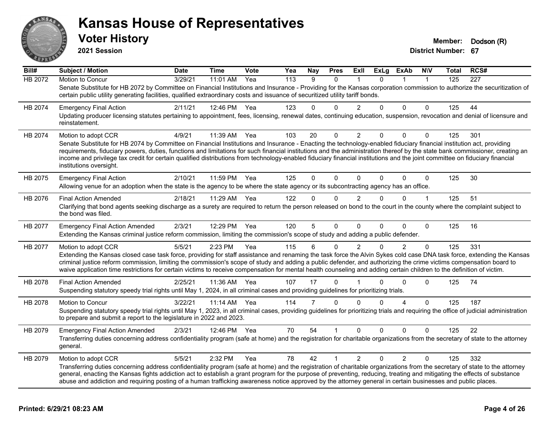

**2021 Session**

| Bill#          | <b>Subject / Motion</b>                                                                                                                                                                                                                                                                                                                                                                                                                                                                                               | <b>Date</b> | <b>Time</b> | Vote | Yea | Nay            | <b>Pres</b> | ExII           | <b>ExLg</b> | <b>ExAb</b>    | <b>NIV</b>  | Total | RCS# |
|----------------|-----------------------------------------------------------------------------------------------------------------------------------------------------------------------------------------------------------------------------------------------------------------------------------------------------------------------------------------------------------------------------------------------------------------------------------------------------------------------------------------------------------------------|-------------|-------------|------|-----|----------------|-------------|----------------|-------------|----------------|-------------|-------|------|
| <b>HB 2072</b> | Motion to Concur                                                                                                                                                                                                                                                                                                                                                                                                                                                                                                      | 3/29/21     | 11:01 AM    | Yea  | 113 | 9              | $\Omega$    |                | $\Omega$    |                |             | 125   | 227  |
|                | Senate Substitute for HB 2072 by Committee on Financial Institutions and Insurance - Providing for the Kansas corporation commission to authorize the securitization of<br>certain public utility generating facilities, qualified extraordinary costs and issuance of securitized utility tariff bonds.                                                                                                                                                                                                              |             |             |      |     |                |             |                |             |                |             |       |      |
| HB 2074        | <b>Emergency Final Action</b>                                                                                                                                                                                                                                                                                                                                                                                                                                                                                         | 2/11/21     | 12:46 PM    | Yea  | 123 | 0              | $\Omega$    | 2              | $\Omega$    | $\Omega$       | $\Omega$    | 125   | 44   |
|                | Updating producer licensing statutes pertaining to appointment, fees, licensing, renewal dates, continuing education, suspension, revocation and denial of licensure and<br>reinstatement.                                                                                                                                                                                                                                                                                                                            |             |             |      |     |                |             |                |             |                |             |       |      |
| HB 2074        | Motion to adopt CCR                                                                                                                                                                                                                                                                                                                                                                                                                                                                                                   | 4/9/21      | 11:39 AM    | Yea  | 103 | 20             | $\Omega$    | $\overline{2}$ | 0           | $\Omega$       | $\mathbf 0$ | 125   | 301  |
|                | Senate Substitute for HB 2074 by Committee on Financial Institutions and Insurance - Enacting the technology-enabled fiduciary financial institution act, providing                                                                                                                                                                                                                                                                                                                                                   |             |             |      |     |                |             |                |             |                |             |       |      |
|                | requirements, fiduciary powers, duties, functions and limitations for such financial institutions and the administration thereof by the state bank commissioner, creating an<br>income and privilege tax credit for certain qualified distributions from technology-enabled fiduciary financial institutions and the joint committee on fiduciary financial<br>institutions oversight.                                                                                                                                |             |             |      |     |                |             |                |             |                |             |       |      |
| HB 2075        | <b>Emergency Final Action</b>                                                                                                                                                                                                                                                                                                                                                                                                                                                                                         | 2/10/21     | 11:59 PM    | Yea  | 125 | $\Omega$       | $\Omega$    | $\Omega$       | $\Omega$    | $\Omega$       | $\mathbf 0$ | 125   | 30   |
|                | Allowing venue for an adoption when the state is the agency to be where the state agency or its subcontracting agency has an office.                                                                                                                                                                                                                                                                                                                                                                                  |             |             |      |     |                |             |                |             |                |             |       |      |
| HB 2076        | <b>Final Action Amended</b>                                                                                                                                                                                                                                                                                                                                                                                                                                                                                           | 2/18/21     | 11:29 AM    | Yea  | 122 | 0              | $\Omega$    | $\overline{2}$ | 0           | $\Omega$       | $\mathbf 1$ | 125   | 51   |
|                | Clarifying that bond agents seeking discharge as a surety are required to return the person released on bond to the court in the county where the complaint subject to<br>the bond was filed.                                                                                                                                                                                                                                                                                                                         |             |             |      |     |                |             |                |             |                |             |       |      |
| HB 2077        | <b>Emergency Final Action Amended</b>                                                                                                                                                                                                                                                                                                                                                                                                                                                                                 | 2/3/21      | 12:29 PM    | Yea  | 120 | 5              | 0           | $\mathbf{0}$   | 0           | $\Omega$       | $\mathbf 0$ | 125   | 16   |
|                | Extending the Kansas criminal justice reform commission, limiting the commission's scope of study and adding a public defender.                                                                                                                                                                                                                                                                                                                                                                                       |             |             |      |     |                |             |                |             |                |             |       |      |
| HB 2077        | Motion to adopt CCR                                                                                                                                                                                                                                                                                                                                                                                                                                                                                                   | 5/5/21      | 2:23 PM     | Yea  | 115 | 6              | $\Omega$    | $\overline{2}$ | 0           | $\overline{2}$ | $\Omega$    | 125   | 331  |
|                | Extending the Kansas closed case task force, providing for staff assistance and renaming the task force the Alvin Sykes cold case DNA task force, extending the Kansas<br>criminal justice reform commission, limiting the commission's scope of study and adding a public defender, and authorizing the crime victims compensation board to<br>waive application time restrictions for certain victims to receive compensation for mental health counseling and adding certain children to the definition of victim. |             |             |      |     |                |             |                |             |                |             |       |      |
| HB 2078        | <b>Final Action Amended</b>                                                                                                                                                                                                                                                                                                                                                                                                                                                                                           | 2/25/21     | 11:36 AM    | Yea  | 107 | 17             | $\Omega$    |                | $\Omega$    | $\mathbf 0$    | $\Omega$    | 125   | 74   |
|                | Suspending statutory speedy trial rights until May 1, 2024, in all criminal cases and providing guidelines for prioritizing trials.                                                                                                                                                                                                                                                                                                                                                                                   |             |             |      |     |                |             |                |             |                |             |       |      |
| HB 2078        | Motion to Concur                                                                                                                                                                                                                                                                                                                                                                                                                                                                                                      | 3/22/21     | 11:14 AM    | Yea  | 114 | $\overline{7}$ | $\Omega$    | $\Omega$       | $\Omega$    | $\Delta$       | $\Omega$    | 125   | 187  |
|                | Suspending statutory speedy trial rights until May 1, 2023, in all criminal cases, providing guidelines for prioritizing trials and requiring the office of judicial administration<br>to prepare and submit a report to the legislature in 2022 and 2023.                                                                                                                                                                                                                                                            |             |             |      |     |                |             |                |             |                |             |       |      |
| HB 2079        | <b>Emergency Final Action Amended</b>                                                                                                                                                                                                                                                                                                                                                                                                                                                                                 | 2/3/21      | 12:46 PM    | Yea  | 70  | 54             |             | $\Omega$       | $\Omega$    | $\Omega$       | $\Omega$    | 125   | 22   |
|                | Transferring duties concerning address confidentiality program (safe at home) and the registration for charitable organizations from the secretary of state to the attorney<br>general.                                                                                                                                                                                                                                                                                                                               |             |             |      |     |                |             |                |             |                |             |       |      |
| HB 2079        | Motion to adopt CCR                                                                                                                                                                                                                                                                                                                                                                                                                                                                                                   | 5/5/21      | 2:32 PM     | Yea  | 78  | 42             | 1           | $\overline{2}$ | $\Omega$    | 2              | $\Omega$    | 125   | 332  |
|                | Transferring duties concerning address confidentiality program (safe at home) and the registration of charitable organizations from the secretary of state to the attorney                                                                                                                                                                                                                                                                                                                                            |             |             |      |     |                |             |                |             |                |             |       |      |
|                | general, enacting the Kansas fights addiction act to establish a grant program for the purpose of preventing, reducing, treating and mitigating the effects of substance<br>abuse and addiction and requiring posting of a human trafficking awareness notice approved by the attorney general in certain businesses and public places.                                                                                                                                                                               |             |             |      |     |                |             |                |             |                |             |       |      |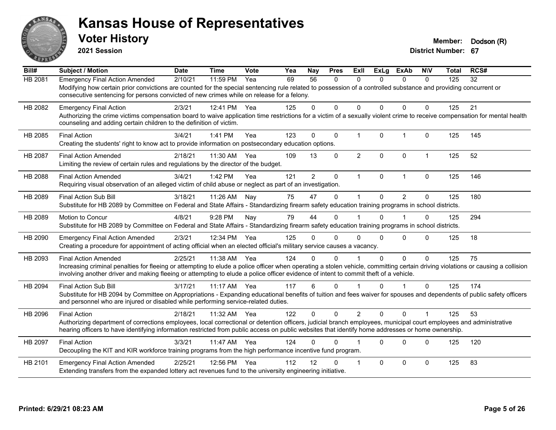

**2021 Session**

| Bill#          | <b>Subject / Motion</b>                                                                                                                                                                                                                                                                                                                                | <b>Date</b> | <b>Time</b> | Vote | Yea | Nay            | <b>Pres</b>  | ExIl                    | <b>ExLg</b>  | <b>ExAb</b>    | <b>NIV</b>     | <b>Total</b> | RCS# |
|----------------|--------------------------------------------------------------------------------------------------------------------------------------------------------------------------------------------------------------------------------------------------------------------------------------------------------------------------------------------------------|-------------|-------------|------|-----|----------------|--------------|-------------------------|--------------|----------------|----------------|--------------|------|
| HB 2081        | <b>Emergency Final Action Amended</b><br>Modifying how certain prior convictions are counted for the special sentencing rule related to possession of a controlled substance and providing concurrent or<br>consecutive sentencing for persons convicted of new crimes while on release for a felony.                                                  | 2/10/21     | 11:59 PM    | Yea  | 69  | 56             | 0            | $\mathbf{0}$            | $\Omega$     | $\mathbf{0}$   | $\mathbf{0}$   | 125          | 32   |
| HB 2082        | <b>Emergency Final Action</b><br>Authorizing the crime victims compensation board to waive application time restrictions for a victim of a sexually violent crime to receive compensation for mental health<br>counseling and adding certain children to the definition of victim.                                                                     | 2/3/21      | 12:41 PM    | Yea  | 125 | 0              | $\Omega$     | $\mathbf{0}$            | $\Omega$     | 0              | 0              | 125          | 21   |
| HB 2085        | <b>Final Action</b><br>Creating the students' right to know act to provide information on postsecondary education options.                                                                                                                                                                                                                             | 3/4/21      | 1:41 PM     | Yea  | 123 | $\Omega$       | $\Omega$     | $\mathbf{1}$            | $\mathbf{0}$ | $\mathbf{1}$   | $\Omega$       | 125          | 145  |
| <b>HB 2087</b> | <b>Final Action Amended</b><br>Limiting the review of certain rules and regulations by the director of the budget.                                                                                                                                                                                                                                     | 2/18/21     | 11:30 AM    | Yea  | 109 | 13             | $\Omega$     | $\overline{2}$          | $\Omega$     | $\Omega$       | $\mathbf{1}$   | 125          | 52   |
| HB 2088        | <b>Final Action Amended</b><br>Requiring visual observation of an alleged victim of child abuse or neglect as part of an investigation.                                                                                                                                                                                                                | 3/4/21      | 1:42 PM     | Yea  | 121 | $\overline{2}$ | $\mathbf{0}$ | $\mathbf{1}$            | $\mathbf{0}$ | $\mathbf{1}$   | $\Omega$       | 125          | 146  |
| HB 2089        | <b>Final Action Sub Bill</b><br>Substitute for HB 2089 by Committee on Federal and State Affairs - Standardizing firearm safety education training programs in school districts.                                                                                                                                                                       | 3/18/21     | 11:26 AM    | Nav  | 75  | 47             | $\Omega$     | $\mathbf 1$             | $\Omega$     | $\mathfrak{p}$ | 0              | 125          | 180  |
| HB 2089        | Motion to Concur<br>Substitute for HB 2089 by Committee on Federal and State Affairs - Standardizing firearm safety education training programs in school districts.                                                                                                                                                                                   | 4/8/21      | 9:28 PM     | Nay  | 79  | 44             | $\Omega$     |                         | $\Omega$     |                | $\mathbf 0$    | 125          | 294  |
| HB 2090        | <b>Emergency Final Action Amended</b><br>Creating a procedure for appointment of acting official when an elected official's military service causes a vacancy.                                                                                                                                                                                         | 2/3/21      | 12:34 PM    | Yea  | 125 | 0              | $\Omega$     | $\Omega$                | $\Omega$     | 0              | $\Omega$       | 125          | 18   |
| HB 2093        | <b>Final Action Amended</b><br>Increasing criminal penalties for fleeing or attempting to elude a police officer when operating a stolen vehicle, committing certain driving violations or causing a collision<br>involving another driver and making fleeing or attempting to elude a police officer evidence of intent to commit theft of a vehicle. | 2/25/21     | 11:38 AM    | Yea  | 124 | 0              | $\Omega$     |                         | $\Omega$     | 0              | $\mathbf{0}$   | 125          | 75   |
| HB 2094        | <b>Final Action Sub Bill</b><br>Substitute for HB 2094 by Committee on Appropriations - Expanding educational benefits of tuition and fees waiver for spouses and dependents of public safety officers<br>and personnel who are injured or disabled while performing service-related duties.                                                           | 3/17/21     | $11:17$ AM  | Yea  | 117 | 6              | $\Omega$     | 1                       | $\Omega$     | 1              | $\Omega$       | 125          | 174  |
| HB 2096        | <b>Final Action</b><br>Authorizing department of corrections employees, local correctional or detention officers, judicial branch employees, municipal court employees and administrative<br>hearing officers to have identifying information restricted from public access on public websites that identify home addresses or home ownership.         | 2/18/21     | 11:32 AM    | Yea  | 122 | 0              | $\Omega$     | $\overline{2}$          | $\Omega$     | $\Omega$       | $\overline{1}$ | 125          | 53   |
| HB 2097        | <b>Final Action</b><br>Decoupling the KIT and KIR workforce training programs from the high performance incentive fund program.                                                                                                                                                                                                                        | 3/3/21      | 11:47 AM    | Yea  | 124 | 0              | $\Omega$     |                         | $\Omega$     | $\Omega$       | $\mathbf{0}$   | 125          | 120  |
| HB 2101        | <b>Emergency Final Action Amended</b><br>Extending transfers from the expanded lottery act revenues fund to the university engineering initiative.                                                                                                                                                                                                     | 2/25/21     | 12:56 PM    | Yea  | 112 | 12             | $\Omega$     | $\overline{\mathbf{1}}$ | $\Omega$     | 0              | $\Omega$       | 125          | 83   |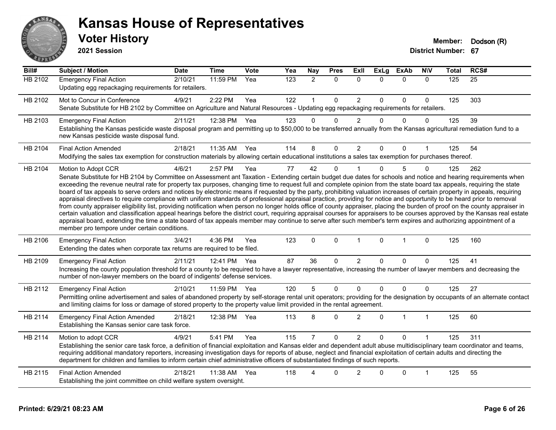

**2021 Session**

| $\overline{Bill#}$ | <b>Subject / Motion</b>                                                                                                                                                                                                                                                                                                                                                                                                                                                                                                                                                                                                                                                                                                                                                                                                                                                                                                                                                                                                                                                                                                                                                                                                                                                                                     | <b>Date</b> | <b>Time</b> | Vote | Yea | Nay            | <b>Pres</b>  | Exll           | <b>ExLg</b>  | <b>ExAb</b>  | <b>NIV</b>   | <b>Total</b> | RCS#            |
|--------------------|-------------------------------------------------------------------------------------------------------------------------------------------------------------------------------------------------------------------------------------------------------------------------------------------------------------------------------------------------------------------------------------------------------------------------------------------------------------------------------------------------------------------------------------------------------------------------------------------------------------------------------------------------------------------------------------------------------------------------------------------------------------------------------------------------------------------------------------------------------------------------------------------------------------------------------------------------------------------------------------------------------------------------------------------------------------------------------------------------------------------------------------------------------------------------------------------------------------------------------------------------------------------------------------------------------------|-------------|-------------|------|-----|----------------|--------------|----------------|--------------|--------------|--------------|--------------|-----------------|
| <b>HB 2102</b>     | <b>Emergency Final Action</b><br>Updating egg repackaging requirements for retailers.                                                                                                                                                                                                                                                                                                                                                                                                                                                                                                                                                                                                                                                                                                                                                                                                                                                                                                                                                                                                                                                                                                                                                                                                                       | 2/10/21     | 11:59 PM    | Yea  | 123 | $\overline{2}$ | $\mathbf{0}$ | $\mathbf{0}$   | $\Omega$     | $\mathbf{0}$ | $\mathbf{0}$ | 125          | $\overline{25}$ |
| HB 2102            | Mot to Concur in Conference<br>Senate Substitute for HB 2102 by Committee on Agriculture and Natural Resources - Updating egg repackaging requirements for retailers.                                                                                                                                                                                                                                                                                                                                                                                                                                                                                                                                                                                                                                                                                                                                                                                                                                                                                                                                                                                                                                                                                                                                       | 4/9/21      | 2:22 PM     | Yea  | 122 |                | $\mathbf 0$  | $\overline{c}$ | $\Omega$     | $\pmb{0}$    | 0            | 125          | 303             |
| HB 2103            | <b>Emergency Final Action</b><br>Establishing the Kansas pesticide waste disposal program and permitting up to \$50,000 to be transferred annually from the Kansas agricultural remediation fund to a<br>new Kansas pesticide waste disposal fund.                                                                                                                                                                                                                                                                                                                                                                                                                                                                                                                                                                                                                                                                                                                                                                                                                                                                                                                                                                                                                                                          | 2/11/21     | 12:38 PM    | Yea  | 123 | $\Omega$       | $\Omega$     | $\overline{2}$ | $\Omega$     | $\Omega$     | $\mathbf{0}$ | 125          | 39              |
| HB 2104            | <b>Final Action Amended</b><br>Modifying the sales tax exemption for construction materials by allowing certain educational institutions a sales tax exemption for purchases thereof.                                                                                                                                                                                                                                                                                                                                                                                                                                                                                                                                                                                                                                                                                                                                                                                                                                                                                                                                                                                                                                                                                                                       | 2/18/21     | 11:35 AM    | Yea  | 114 | 8              | $\Omega$     | $\overline{2}$ | $\Omega$     | 0            |              | 125          | 54              |
| HB 2104            | Motion to Adopt CCR<br>Senate Substitute for HB 2104 by Committee on Assessment ant Taxation - Extending certain budget due dates for schools and notice and hearing requirements when<br>exceeding the revenue neutral rate for property tax purposes, changing time to request full and complete opinion from the state board tax appeals, requiring the state<br>board of tax appeals to serve orders and notices by electronic means if requested by the party, prohibiting valuation increases of certain property in appeals, requiring<br>appraisal directives to require compliance with uniform standards of professional appraisal practice, providing for notice and opportunity to be heard prior to removal<br>from county appraiser eligibility list, providing notification when person no longer holds office of county appraiser, placing the burden of proof on the county appraiser in<br>certain valuation and classification appeal hearings before the district court, requiring appraisal courses for appraisers to be courses approved by the Kansas real estate<br>appraisal board, extending the time a state board of tax appeals member may continue to serve after such member's term expires and authorizing appointment of a<br>member pro tempore under certain conditions. | 4/6/21      | 2:57 PM     | Yea  | 77  | 42             | $\mathbf{0}$ |                | $\Omega$     | 5            | 0            | 125          | 262             |
| HB 2106            | <b>Emergency Final Action</b><br>Extending the dates when corporate tax returns are required to be filed.                                                                                                                                                                                                                                                                                                                                                                                                                                                                                                                                                                                                                                                                                                                                                                                                                                                                                                                                                                                                                                                                                                                                                                                                   | 3/4/21      | 4:36 PM     | Yea  | 123 | $\mathbf 0$    | $\mathbf 0$  | $\mathbf{1}$   | $\mathbf{0}$ | $\mathbf{1}$ | $\mathbf 0$  | 125          | 160             |
| HB 2109            | <b>Emergency Final Action</b><br>Increasing the county population threshold for a county to be required to have a lawyer representative, increasing the number of lawyer members and decreasing the<br>number of non-lawyer members on the board of indigents' defense services.                                                                                                                                                                                                                                                                                                                                                                                                                                                                                                                                                                                                                                                                                                                                                                                                                                                                                                                                                                                                                            | 2/11/21     | 12:41 PM    | Yea  | 87  | 36             | $\mathbf 0$  | $\overline{c}$ | $\Omega$     | 0            | 0            | 125          | 41              |
| HB 2112            | <b>Emergency Final Action</b><br>Permitting online advertisement and sales of abandoned property by self-storage rental unit operators; providing for the designation by occupants of an alternate contact<br>and limiting claims for loss or damage of stored property to the property value limit provided in the rental agreement.                                                                                                                                                                                                                                                                                                                                                                                                                                                                                                                                                                                                                                                                                                                                                                                                                                                                                                                                                                       | 2/10/21     | 11:59 PM    | Yea  | 120 | 5              | $\mathbf 0$  | 0              | $\Omega$     | $\pmb{0}$    | $\Omega$     | 125          | 27              |
| HB 2114            | <b>Emergency Final Action Amended</b><br>Establishing the Kansas senior care task force.                                                                                                                                                                                                                                                                                                                                                                                                                                                                                                                                                                                                                                                                                                                                                                                                                                                                                                                                                                                                                                                                                                                                                                                                                    | 2/18/21     | 12:38 PM    | Yea  | 113 | 8              | $\Omega$     | $\overline{2}$ | $\Omega$     | 1            | $\mathbf{1}$ | 125          | 60              |
| HB 2114            | Motion to adopt CCR<br>Establishing the senior care task force, a definition of financial exploitation and Kansas elder and dependent adult abuse multidisciplinary team coordinator and teams,<br>requiring additional mandatory reporters, increasing investigation days for reports of abuse, neglect and financial exploitation of certain adults and directing the<br>department for children and families to inform certain chief administrative officers of substantiated findings of such reports.                                                                                                                                                                                                                                                                                                                                                                                                                                                                                                                                                                                                                                                                                                                                                                                                  | 4/9/21      | 5:41 PM     | Yea  | 115 |                | $\mathbf 0$  | $\overline{2}$ | $\Omega$     | $\mathbf 0$  |              | 125          | 311             |
| HB 2115            | <b>Final Action Amended</b><br>Establishing the joint committee on child welfare system oversight.                                                                                                                                                                                                                                                                                                                                                                                                                                                                                                                                                                                                                                                                                                                                                                                                                                                                                                                                                                                                                                                                                                                                                                                                          | 2/18/21     | 11:38 AM    | Yea  | 118 | Δ              | 0            | $\overline{2}$ | $\Omega$     | $\mathbf 0$  | 1            | 125          | 55              |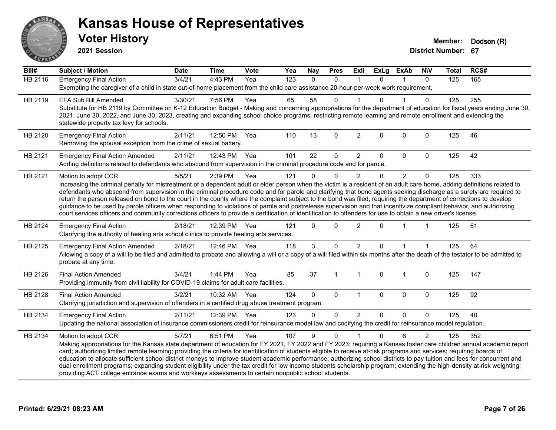

**2021 Session**

| Bill#          | <b>Subject / Motion</b>                                                                                                                                                                                                                                                                                                                                                                                                                                                                                                                                                                                                                                                                                                                                                                                                                                                                | <b>Date</b> | <b>Time</b>  | Vote | Yea | <b>Nay</b> | <b>Pres</b>    | <b>Exll</b>    | <b>ExLg</b>  | <b>ExAb</b>    | <b>NIV</b>     | <b>Total</b> | RCS# |
|----------------|----------------------------------------------------------------------------------------------------------------------------------------------------------------------------------------------------------------------------------------------------------------------------------------------------------------------------------------------------------------------------------------------------------------------------------------------------------------------------------------------------------------------------------------------------------------------------------------------------------------------------------------------------------------------------------------------------------------------------------------------------------------------------------------------------------------------------------------------------------------------------------------|-------------|--------------|------|-----|------------|----------------|----------------|--------------|----------------|----------------|--------------|------|
| <b>HB 2116</b> | <b>Emergency Final Action</b><br>Exempting the caregiver of a child in state out-of-home placement from the child care assistance 20-hour-per-week work requirement.                                                                                                                                                                                                                                                                                                                                                                                                                                                                                                                                                                                                                                                                                                                   | 3/4/21      | 4:43 PM      | Yea  | 123 | $\Omega$   | $\mathbf 0$    | $\mathbf{1}$   | $\Omega$     | $\mathbf{1}$   | $\mathbf{0}$   | 125          | 165  |
| HB 2119        | <b>EFA Sub Bill Amended</b><br>Substitute for HB 2119 by Committee on K-12 Education Budget - Making and concerning appropriations for the department of education for fiscal years ending June 30,<br>2021, June 30, 2022, and June 30, 2023, creating and expanding school choice programs, restricting remote learning and remote enrollment and extending the<br>statewide property tax levy for schools.                                                                                                                                                                                                                                                                                                                                                                                                                                                                          | 3/30/21     | 7:56 PM      | Yea  | 65  | 58         | 0              |                | U            |                | 0              | 125          | 255  |
| HB 2120        | <b>Emergency Final Action</b><br>Removing the spousal exception from the crime of sexual battery.                                                                                                                                                                                                                                                                                                                                                                                                                                                                                                                                                                                                                                                                                                                                                                                      | 2/11/21     | 12:50 PM     | Yea  | 110 | 13         | $\mathbf 0$    | $\overline{2}$ | $\mathbf 0$  | $\mathbf 0$    | $\mathbf 0$    | 125          | 46   |
| HB 2121        | <b>Emergency Final Action Amended</b><br>Adding definitions related to defendants who abscond from supervision in the criminal procedure code and for parole.                                                                                                                                                                                                                                                                                                                                                                                                                                                                                                                                                                                                                                                                                                                          | 2/11/21     | 12:43 PM Yea |      | 101 | 22         | $\mathbf 0$    | $\overline{2}$ | $\Omega$     | $\Omega$       | $\Omega$       | 125          | 42   |
| HB 2121        | Motion to adopt CCR<br>Increasing the criminal penalty for mistreatment of a dependent adult or elder person when the victim is a resident of an adult care home, adding definitions related to<br>defendants who abscond from supervision in the criminal procedure code and for parole and clarifying that bond agents seeking discharge as a surety are required to<br>return the person released on bond to the court in the county where the complaint subject to the bond was filed, requiring the department of corrections to develop<br>guidance to be used by parole officers when responding to violations of parole and postrelease supervision and that incentivize compliant behavior, and authorizing<br>court services officers and community corrections officers to provide a certification of identification to offenders for use to obtain a new driver's license. | 5/5/21      | 2:39 PM      | Yea  | 121 | $\Omega$   | $\mathbf 0$    | $\overline{2}$ | 0            | $\overline{2}$ | $\mathbf 0$    | 125          | 333  |
| HB 2124        | <b>Emergency Final Action</b><br>Clarifying the authority of healing arts school clinics to provide healing arts services.                                                                                                                                                                                                                                                                                                                                                                                                                                                                                                                                                                                                                                                                                                                                                             | 2/18/21     | 12:39 PM     | Yea  | 121 | $\Omega$   | $\Omega$       | $\overline{2}$ | $\Omega$     |                |                | 125          | 61   |
| HB 2125        | <b>Emergency Final Action Amended</b><br>Allowing a copy of a will to be filed and admitted to probate and allowing a will or a copy of a will filed within six months after the death of the testator to be admitted to<br>probate at any time.                                                                                                                                                                                                                                                                                                                                                                                                                                                                                                                                                                                                                                       | 2/18/21     | 12:46 PM Yea |      | 118 | 3          | $\Omega$       | $\overline{c}$ | $\Omega$     |                |                | 125          | 64   |
| HB 2126        | <b>Final Action Amended</b><br>Providing immunity from civil liability for COVID-19 claims for adult care facilities.                                                                                                                                                                                                                                                                                                                                                                                                                                                                                                                                                                                                                                                                                                                                                                  | 3/4/21      | 1:44 PM      | Yea  | 85  | 37         | $\overline{1}$ | $\overline{1}$ | $\mathbf 0$  | $\overline{1}$ | $\mathbf 0$    | 125          | 147  |
| HB 2128        | <b>Final Action Amended</b><br>Clarifying jurisdiction and supervision of offenders in a certified drug abuse treatment program.                                                                                                                                                                                                                                                                                                                                                                                                                                                                                                                                                                                                                                                                                                                                                       | 3/2/21      | 10:32 AM     | Yea  | 124 | $\Omega$   | $\mathbf 0$    | $\mathbf{1}$   | $\mathbf{0}$ | $\mathbf{0}$   | $\mathbf 0$    | 125          | 92   |
| HB 2134        | <b>Emergency Final Action</b><br>Updating the national association of insurance commissioners credit for reinsurance model law and codifying the credit for reinsurance model regulation.                                                                                                                                                                                                                                                                                                                                                                                                                                                                                                                                                                                                                                                                                              | 2/11/21     | 12:39 PM Yea |      | 123 | $\Omega$   | 0              | $\overline{2}$ | $\Omega$     | $\Omega$       | $\Omega$       | 125          | 40   |
| HB 2134        | Motion to adopt CCR<br>Making appropriations for the Kansas state department of education for FY 2021, FY 2022 and FY 2023; requiring a Kansas foster care children annual academic report<br>card; authorizing limited remote learning; providing the criteria for identification of students eligible to receive at-risk programs and services; requiring boards of<br>education to allocate sufficient school district moneys to improve student academic performance; authorizing school districts to pay tuition and fees for concurrent and<br>dual enrollment programs; expanding student eligibility under the tax credit for low income students scholarship program; extending the high-density at-risk weighting;<br>providing ACT college entrance exams and workkeys assessments to certain nonpublic school students.                                                    | 5/7/21      | 6:51 PM      | Yea  | 107 | 9          | $\mathbf 0$    |                | 0            | 6              | $\overline{c}$ | 125          | 352  |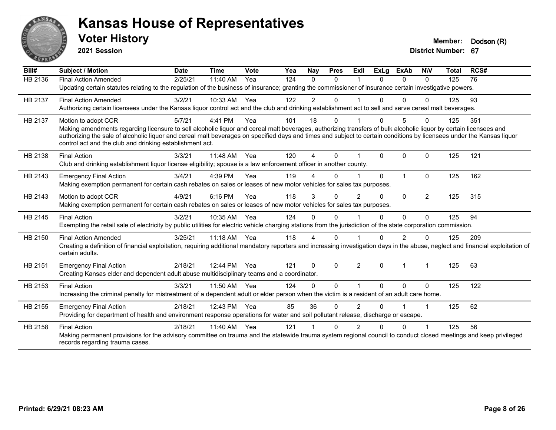

**2021 Session**

| Bill#          | <b>Subject / Motion</b>                                                                                                                                                                                                           | <b>Date</b> | <b>Time</b> | Vote | Yea | Nay            | <b>Pres</b>  | ExII           | <b>ExLg</b>  | <b>ExAb</b> | <b>NIV</b>           | <b>Total</b> | RCS# |
|----------------|-----------------------------------------------------------------------------------------------------------------------------------------------------------------------------------------------------------------------------------|-------------|-------------|------|-----|----------------|--------------|----------------|--------------|-------------|----------------------|--------------|------|
| <b>HB 2136</b> | <b>Final Action Amended</b>                                                                                                                                                                                                       | 2/25/21     | 11:40 AM    | Yea  | 124 | $\Omega$       | $\Omega$     |                | 0            | $\Omega$    | $\Omega$             | 125          | 76   |
|                | Updating certain statutes relating to the regulation of the business of insurance; granting the commissioner of insurance certain investigative powers.                                                                           |             |             |      |     |                |              |                |              |             |                      |              |      |
| HB 2137        | <b>Final Action Amended</b>                                                                                                                                                                                                       | 3/2/21      | 10:33 AM    | Yea  | 122 | $\overline{2}$ | $\Omega$     |                | O.           | $\Omega$    | $\Omega$             | 125          | 93   |
|                | Authorizing certain licensees under the Kansas liquor control act and the club and drinking establishment act to sell and serve cereal malt beverages.                                                                            |             |             |      |     |                |              |                |              |             |                      |              |      |
| HB 2137        | Motion to adopt CCR                                                                                                                                                                                                               | 5/7/21      | 4:41 PM     | Yea  | 101 | 18             | $\Omega$     |                | 0            | 5           | 0                    | 125          | 351  |
|                | Making amendments regarding licensure to sell alcoholic liquor and cereal malt beverages, authorizing transfers of bulk alcoholic liquor by certain licensees and                                                                 |             |             |      |     |                |              |                |              |             |                      |              |      |
|                | authorizing the sale of alcoholic liquor and cereal malt beverages on specified days and times and subject to certain conditions by licensees under the Kansas liquor<br>control act and the club and drinking establishment act. |             |             |      |     |                |              |                |              |             |                      |              |      |
|                |                                                                                                                                                                                                                                   |             |             |      |     |                |              |                |              |             |                      |              |      |
| HB 2138        | <b>Final Action</b>                                                                                                                                                                                                               | 3/3/21      | 11:48 AM    | Yea  | 120 | 4              | $\Omega$     |                | $\Omega$     | 0           | $\mathbf{0}$         | 125          | 121  |
|                | Club and drinking establishment liquor license eligibility; spouse is a law enforcement officer in another county.                                                                                                                |             |             |      |     |                |              |                |              |             |                      |              |      |
| HB 2143        | <b>Emergency Final Action</b>                                                                                                                                                                                                     | 3/4/21      | 4:39 PM     | Yea  | 119 |                | $\Omega$     |                | $\Omega$     | 1           | $\Omega$             | 125          | 162  |
|                | Making exemption permanent for certain cash rebates on sales or leases of new motor vehicles for sales tax purposes.                                                                                                              |             |             |      |     |                |              |                |              |             |                      |              |      |
| HB 2143        | Motion to adopt CCR                                                                                                                                                                                                               | 4/9/21      | 6:16 PM     | Yea  | 118 | 3              | $\Omega$     | $\mathfrak{p}$ | $\Omega$     | $\Omega$    | 2                    | 125          | 315  |
|                | Making exemption permanent for certain cash rebates on sales or leases of new motor vehicles for sales tax purposes.                                                                                                              |             |             |      |     |                |              |                |              |             |                      |              |      |
| HB 2145        | <b>Final Action</b>                                                                                                                                                                                                               | 3/2/21      | 10:35 AM    | Yea  | 124 | 0              | $\Omega$     |                | 0            | $\Omega$    | $\Omega$             | 125          | 94   |
|                | Exempting the retail sale of electricity by public utilities for electric vehicle charging stations from the jurisdiction of the state corporation commission.                                                                    |             |             |      |     |                |              |                |              |             |                      |              |      |
| HB 2150        | <b>Final Action Amended</b>                                                                                                                                                                                                       | 3/25/21     | 11:18 AM    | Yea  | 118 | 4              | $\Omega$     |                | 0            | 2           | $\Omega$             | 125          | 209  |
|                | Creating a definition of financial exploitation, requiring additional mandatory reporters and increasing investigation days in the abuse, neglect and financial exploitation of                                                   |             |             |      |     |                |              |                |              |             |                      |              |      |
|                | certain adults.                                                                                                                                                                                                                   |             |             |      |     |                |              |                |              |             |                      |              |      |
| HB 2151        | <b>Emergency Final Action</b>                                                                                                                                                                                                     | 2/18/21     | 12:44 PM    | Yea  | 121 | $\Omega$       | $\Omega$     | $\overline{2}$ | $\mathbf{0}$ | 1           | $\mathbf 1$          | 125          | 63   |
|                | Creating Kansas elder and dependent adult abuse multidisciplinary teams and a coordinator.                                                                                                                                        |             |             |      |     |                |              |                |              |             |                      |              |      |
| HB 2153        | <b>Final Action</b>                                                                                                                                                                                                               | 3/3/21      | 11:50 AM    | Yea  | 124 | 0              | $\Omega$     |                | $\Omega$     | 0           | $\Omega$             | 125          | 122  |
|                | Increasing the criminal penalty for mistreatment of a dependent adult or elder person when the victim is a resident of an adult care home.                                                                                        |             |             |      |     |                |              |                |              |             |                      |              |      |
| HB 2155        | <b>Emergency Final Action</b>                                                                                                                                                                                                     | 2/18/21     | 12:43 PM    | Yea  | 85  | 36             | $\Omega$     | 2              | 0            |             | $\blacktriangleleft$ | 125          | 62   |
|                | Providing for department of health and environment response operations for water and soil pollutant release, discharge or escape.                                                                                                 |             |             |      |     |                |              |                |              |             |                      |              |      |
| HB 2158        | <b>Final Action</b>                                                                                                                                                                                                               | 2/18/21     | 11:40 AM    | Yea  | 121 |                | <sup>n</sup> | $\mathcal{P}$  |              | U           |                      | 125          | 56   |
|                | Making permanent provisions for the advisory committee on trauma and the statewide trauma system regional council to conduct closed meetings and keep privileged                                                                  |             |             |      |     |                |              |                |              |             |                      |              |      |
|                | records regarding trauma cases.                                                                                                                                                                                                   |             |             |      |     |                |              |                |              |             |                      |              |      |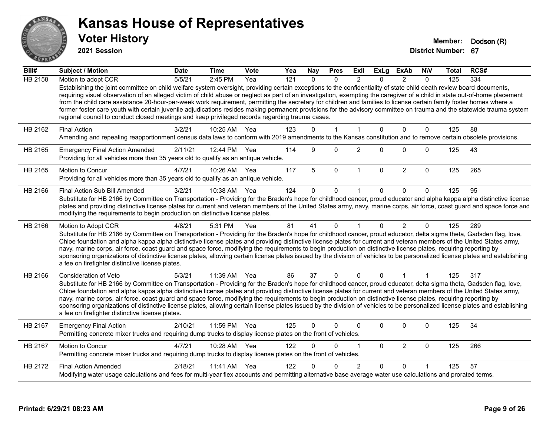

**2021 Session**

| Bill#          | <b>Subject / Motion</b>                                                                                                                                                                                                                                                                                                                                                                                                                                                                                                                                                                                                                                                                                                                                                                               | <b>Date</b> | <b>Time</b> | <b>Vote</b> | Yea | <b>Nay</b> | <b>Pres</b>  | ExII           | <b>ExLg</b>  | <b>ExAb</b>    | <b>NIV</b>   | Total | RCS# |
|----------------|-------------------------------------------------------------------------------------------------------------------------------------------------------------------------------------------------------------------------------------------------------------------------------------------------------------------------------------------------------------------------------------------------------------------------------------------------------------------------------------------------------------------------------------------------------------------------------------------------------------------------------------------------------------------------------------------------------------------------------------------------------------------------------------------------------|-------------|-------------|-------------|-----|------------|--------------|----------------|--------------|----------------|--------------|-------|------|
| <b>HB 2158</b> | Motion to adopt CCR                                                                                                                                                                                                                                                                                                                                                                                                                                                                                                                                                                                                                                                                                                                                                                                   | 5/5/21      | 2:45 PM     | Yea         | 121 | $\Omega$   | $\Omega$     | $\mathcal{P}$  | $\Omega$     | $\mathcal{P}$  | $\Omega$     | 125   | 334  |
|                | Establishing the joint committee on child welfare system oversight, providing certain exceptions to the confidentiality of state child death review board documents,<br>requiring visual observation of an alleged victim of child abuse or neglect as part of an investigation, exempting the caregiver of a child in state out-of-home placement<br>from the child care assistance 20-hour-per-week work requirement, permitting the secretary for children and families to license certain family foster homes where a<br>former foster care youth with certain juvenile adjudications resides making permanent provisions for the advisory committee on trauma and the statewide trauma system<br>regional council to conduct closed meetings and keep privileged records regarding trauma cases. |             |             |             |     |            |              |                |              |                |              |       |      |
| HB 2162        | <b>Final Action</b>                                                                                                                                                                                                                                                                                                                                                                                                                                                                                                                                                                                                                                                                                                                                                                                   | 3/2/21      | 10:25 AM    | Yea         | 123 | $\Omega$   | $\mathbf{1}$ | $\mathbf{1}$   | $\Omega$     | $\mathbf{0}$   | $\mathbf{0}$ | 125   | 88   |
|                | Amending and repealing reapportionment census data laws to conform with 2019 amendments to the Kansas constitution and to remove certain obsolete provisions.                                                                                                                                                                                                                                                                                                                                                                                                                                                                                                                                                                                                                                         |             |             |             |     |            |              |                |              |                |              |       |      |
| HB 2165        | <b>Emergency Final Action Amended</b><br>Providing for all vehicles more than 35 years old to qualify as an antique vehicle.                                                                                                                                                                                                                                                                                                                                                                                                                                                                                                                                                                                                                                                                          | 2/11/21     | 12:44 PM    | Yea         | 114 | 9          | $\Omega$     | $\overline{2}$ | $\Omega$     | $\Omega$       | $\mathbf{0}$ | 125   | 43   |
| HB 2165        | Motion to Concur<br>Providing for all vehicles more than 35 years old to qualify as an antique vehicle.                                                                                                                                                                                                                                                                                                                                                                                                                                                                                                                                                                                                                                                                                               | 4/7/21      | 10:26 AM    | Yea         | 117 | 5          | $\mathbf 0$  | $\mathbf{1}$   | $\mathbf 0$  | $\overline{2}$ | $\mathbf 0$  | 125   | 265  |
| HB 2166        | Final Action Sub Bill Amended                                                                                                                                                                                                                                                                                                                                                                                                                                                                                                                                                                                                                                                                                                                                                                         | 3/2/21      | 10:38 AM    | Yea         | 124 | 0          | $\mathbf 0$  |                | 0            | 0              | $\Omega$     | 125   | 95   |
|                | Substitute for HB 2166 by Committee on Transportation - Providing for the Braden's hope for childhood cancer, proud educator and alpha kappa alpha distinctive license<br>plates and providing distinctive license plates for current and veteran members of the United States army, navy, marine corps, air force, coast guard and space force and<br>modifying the requirements to begin production on distinctive license plates.                                                                                                                                                                                                                                                                                                                                                                  |             |             |             |     |            |              |                |              |                |              |       |      |
| HB 2166        | Motion to Adopt CCR                                                                                                                                                                                                                                                                                                                                                                                                                                                                                                                                                                                                                                                                                                                                                                                   | 4/8/21      | 5:31 PM     | Yea         | 81  | 41         | $\Omega$     | -1             | $\Omega$     | $\overline{2}$ | $\Omega$     | 125   | 289  |
|                | Substitute for HB 2166 by Committee on Transportation - Providing for the Braden's hope for childhood cancer, proud educator, delta sigma theta, Gadsden flag, love,<br>Chloe foundation and alpha kappa alpha distinctive license plates and providing distinctive license plates for current and veteran members of the United States army,<br>navy, marine corps, air force, coast guard and space force, modifying the requirements to begin production on distinctive license plates, requiring reporting by<br>sponsoring organizations of distinctive license plates, allowing certain license plates issued by the division of vehicles to be personalized license plates and establishing<br>a fee on firefighter distinctive license plates.                                                |             |             |             |     |            |              |                |              |                |              |       |      |
| HB 2166        | Consideration of Veto                                                                                                                                                                                                                                                                                                                                                                                                                                                                                                                                                                                                                                                                                                                                                                                 | 5/3/21      | 11:39 AM    | Yea         | 86  | 37         | 0            | $\mathbf{0}$   | $\mathbf{0}$ |                | 1            | 125   | 317  |
|                | Substitute for HB 2166 by Committee on Transportation - Providing for the Braden's hope for childhood cancer, proud educator, delta sigma theta, Gadsden flag, love,<br>Chloe foundation and alpha kappa alpha distinctive license plates and providing distinctive license plates for current and veteran members of the United States army,<br>navy, marine corps, air force, coast guard and space force, modifying the requirements to begin production on distinctive license plates, requiring reporting by<br>sponsoring organizations of distinctive license plates, allowing certain license plates issued by the division of vehicles to be personalized license plates and establishing<br>a fee on firefighter distinctive license plates.                                                |             |             |             |     |            |              |                |              |                |              |       |      |
| HB 2167        | <b>Emergency Final Action</b><br>Permitting concrete mixer trucks and requiring dump trucks to display license plates on the front of vehicles.                                                                                                                                                                                                                                                                                                                                                                                                                                                                                                                                                                                                                                                       | 2/10/21     | 11:59 PM    | Yea         | 125 | $\Omega$   | 0            | $\mathbf{0}$   | 0            | 0              | $\mathbf 0$  | 125   | 34   |
| HB 2167        | Motion to Concur<br>Permitting concrete mixer trucks and requiring dump trucks to display license plates on the front of vehicles.                                                                                                                                                                                                                                                                                                                                                                                                                                                                                                                                                                                                                                                                    | 4/7/21      | 10:28 AM    | Yea         | 122 | $\Omega$   | $\Omega$     | 1              | $\Omega$     | $\overline{2}$ | $\mathbf 0$  | 125   | 266  |
| HB 2172        | <b>Final Action Amended</b>                                                                                                                                                                                                                                                                                                                                                                                                                                                                                                                                                                                                                                                                                                                                                                           | 2/18/21     | 11:41 AM    | Yea         | 122 |            | 0            | $\overline{2}$ | $\Omega$     | $\Omega$       |              | 125   | 57   |
|                | Modifying water usage calculations and fees for multi-year flex accounts and permitting alternative base average water use calculations and prorated terms.                                                                                                                                                                                                                                                                                                                                                                                                                                                                                                                                                                                                                                           |             |             |             |     |            |              |                |              |                |              |       |      |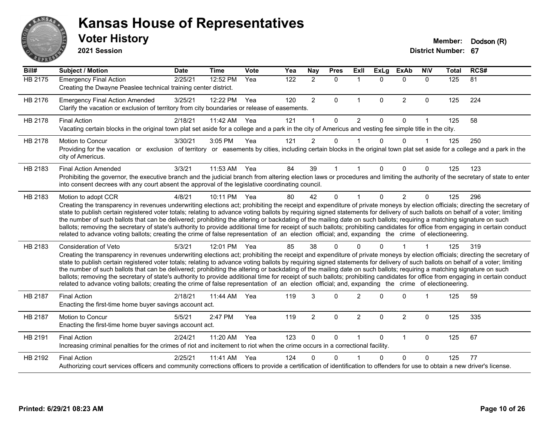

**2021 Session**

| Bill#   | <b>Subject / Motion</b>                                                                                                                                                                                                                                                                                                                                                                                                                                                                                                                                                                                                                                                                                                                                                                                                                                                                                    | <b>Date</b> | <b>Time</b> | <b>Vote</b> | Yea              | <b>Nay</b>     | <b>Pres</b> | ExIl           | <b>ExLg</b> | <b>ExAb</b>    | <b>NIV</b>   | <b>Total</b> | RCS# |
|---------|------------------------------------------------------------------------------------------------------------------------------------------------------------------------------------------------------------------------------------------------------------------------------------------------------------------------------------------------------------------------------------------------------------------------------------------------------------------------------------------------------------------------------------------------------------------------------------------------------------------------------------------------------------------------------------------------------------------------------------------------------------------------------------------------------------------------------------------------------------------------------------------------------------|-------------|-------------|-------------|------------------|----------------|-------------|----------------|-------------|----------------|--------------|--------------|------|
| HB 2175 | <b>Emergency Final Action</b><br>Creating the Dwayne Peaslee technical training center district.                                                                                                                                                                                                                                                                                                                                                                                                                                                                                                                                                                                                                                                                                                                                                                                                           | 2/25/21     | 12:52 PM    | Yea         | $\overline{122}$ | $\overline{2}$ | $\Omega$    | $\mathbf 1$    | $\Omega$    | $\Omega$       | $\Omega$     | 125          | 81   |
| HB 2176 | <b>Emergency Final Action Amended</b><br>Clarify the vacation or exclusion of territory from city boundaries or release of easements.                                                                                                                                                                                                                                                                                                                                                                                                                                                                                                                                                                                                                                                                                                                                                                      | 3/25/21     | 12:22 PM    | Yea         | 120              | $\overline{2}$ | 0           | $\mathbf{1}$   | $\mathbf 0$ | $\overline{2}$ | $\mathbf 0$  | 125          | 224  |
| HB 2178 | <b>Final Action</b><br>Vacating certain blocks in the original town plat set aside for a college and a park in the city of Americus and vesting fee simple title in the city.                                                                                                                                                                                                                                                                                                                                                                                                                                                                                                                                                                                                                                                                                                                              | 2/18/21     | 11:42 AM    | Yea         | 121              | 1              | $\Omega$    | $\overline{2}$ | $\Omega$    | $\Omega$       | $\mathbf{1}$ | 125          | 58   |
| HB 2178 | <b>Motion to Concur</b><br>Providing for the vacation or exclusion of territory or easements by cities, including certain blocks in the original town plat set aside for a college and a park in the<br>city of Americus.                                                                                                                                                                                                                                                                                                                                                                                                                                                                                                                                                                                                                                                                                  | 3/30/21     | 3:05 PM     | Yea         | 121              | $\overline{2}$ | 0           |                | $\Omega$    | $\Omega$       | $\mathbf 1$  | 125          | 250  |
| HB 2183 | <b>Final Action Amended</b><br>Prohibiting the governor, the executive branch and the judicial branch from altering election laws or procedures and limiting the authority of the secretary of state to enter<br>into consent decrees with any court absent the approval of the legislative coordinating council.                                                                                                                                                                                                                                                                                                                                                                                                                                                                                                                                                                                          | 3/3/21      | 11:53 AM    | Yea         | 84               | 39             |             |                | 0           | 0              | $\Omega$     | 125          | 123  |
| HB 2183 | Motion to adopt CCR<br>Creating the transparency in revenues underwriting elections act; prohibiting the receipt and expenditure of private moneys by election officials; directing the secretary of<br>state to publish certain registered voter totals; relating to advance voting ballots by requiring signed statements for delivery of such ballots on behalf of a voter; limiting<br>the number of such ballots that can be delivered; prohibiting the altering or backdating of the mailing date on such ballots; requiring a matching signature on such<br>ballots; removing the secretary of state's authority to provide additional time for receipt of such ballots; prohibiting candidates for office from engaging in certain conduct<br>related to advance voting ballots; creating the crime of false representation of an election official; and, expanding the crime of electioneering.   | 4/8/21      | 10:11 PM    | Yea         | 80               | 42             | $\Omega$    |                | $\Omega$    | $\overline{2}$ | $\mathbf{0}$ | 125          | 296  |
| HB 2183 | Consideration of Veto<br>Creating the transparency in revenues underwriting elections act; prohibiting the receipt and expenditure of private moneys by election officials; directing the secretary of<br>state to publish certain registered voter totals; relating to advance voting ballots by requiring signed statements for delivery of such ballots on behalf of a voter; limiting<br>the number of such ballots that can be delivered; prohibiting the altering or backdating of the mailing date on such ballots; requiring a matching signature on such<br>ballots; removing the secretary of state's authority to provide additional time for receipt of such ballots; prohibiting candidates for office from engaging in certain conduct<br>related to advance voting ballots; creating the crime of false representation of an election official; and, expanding the crime of electioneering. | 5/3/21      | 12:01 PM    | Yea         | 85               | 38             | O           |                |             |                |              | 125          | 319  |
| HB 2187 | <b>Final Action</b><br>Enacting the first-time home buyer savings account act.                                                                                                                                                                                                                                                                                                                                                                                                                                                                                                                                                                                                                                                                                                                                                                                                                             | 2/18/21     | 11:44 AM    | Yea         | 119              | 3              | $\Omega$    | $\overline{2}$ | $\Omega$    | $\Omega$       | 1            | 125          | 59   |
| HB 2187 | Motion to Concur<br>Enacting the first-time home buyer savings account act.                                                                                                                                                                                                                                                                                                                                                                                                                                                                                                                                                                                                                                                                                                                                                                                                                                | 5/5/21      | 2:47 PM     | Yea         | 119              | $\overline{a}$ | 0           | $\overline{2}$ | $\Omega$    | $\overline{2}$ | $\mathbf 0$  | 125          | 335  |
| HB 2191 | <b>Final Action</b><br>Increasing criminal penalties for the crimes of riot and incitement to riot when the crime occurs in a correctional facility.                                                                                                                                                                                                                                                                                                                                                                                                                                                                                                                                                                                                                                                                                                                                                       | 2/24/21     | 11:20 AM    | Yea         | 123              | $\Omega$       | 0           | 1              | $\Omega$    | $\mathbf{1}$   | $\mathbf 0$  | 125          | 67   |
| HB 2192 | <b>Final Action</b><br>Authorizing court services officers and community corrections officers to provide a certification of identification to offenders for use to obtain a new driver's license.                                                                                                                                                                                                                                                                                                                                                                                                                                                                                                                                                                                                                                                                                                          | 2/25/21     | 11:41 AM    | Yea         | 124              | 0              | U           |                | 0           | $\Omega$       | 0            | 125          | 77   |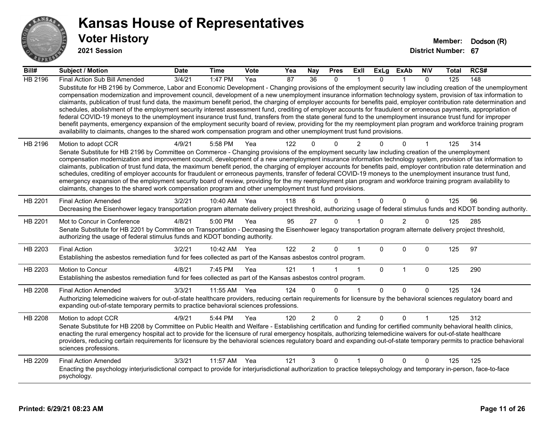

**2021 Session**

| Bill#   | Subject / Motion                                                                                                                                                                                                                                                                                                                                                                                                                                                                                                                                                                                                                                                                                                                                                                                                                                                                                                                                                                                                                                                                                                                                  | <b>Date</b> | <b>Time</b>  | Vote | Yea | <b>Nay</b>      | <b>Pres</b>  | ExII           | ExLg         | ExAb           | <b>NIV</b>   | <b>Total</b> | RCS# |
|---------|---------------------------------------------------------------------------------------------------------------------------------------------------------------------------------------------------------------------------------------------------------------------------------------------------------------------------------------------------------------------------------------------------------------------------------------------------------------------------------------------------------------------------------------------------------------------------------------------------------------------------------------------------------------------------------------------------------------------------------------------------------------------------------------------------------------------------------------------------------------------------------------------------------------------------------------------------------------------------------------------------------------------------------------------------------------------------------------------------------------------------------------------------|-------------|--------------|------|-----|-----------------|--------------|----------------|--------------|----------------|--------------|--------------|------|
| HB 2196 | Final Action Sub Bill Amended                                                                                                                                                                                                                                                                                                                                                                                                                                                                                                                                                                                                                                                                                                                                                                                                                                                                                                                                                                                                                                                                                                                     | 3/4/21      | 1:47 PM      | Yea  | 87  | $\overline{36}$ | $\mathbf{0}$ |                | $\Omega$     |                | $\Omega$     | 125          | 148  |
|         | Substitute for HB 2196 by Commerce, Labor and Economic Development - Changing provisions of the employment security law including creation of the unemployment<br>compensation modernization and improvement council, development of a new unemployment insurance information technology system, provision of tax information to<br>claimants, publication of trust fund data, the maximum benefit period, the charging of employer accounts for benefits paid, employer contribution rate determination and<br>schedules, abolishment of the employment security interest assessment fund, crediting of employer accounts for fraudulent or erroneous payments, appropriation of<br>federal COVID-19 moneys to the unemployment insurance trust fund, transfers from the state general fund to the unemployment insurance trust fund for improper<br>benefit payments, emergency expansion of the employment security board of review, providing for the my reemployment plan program and workforce training program<br>availability to claimants, changes to the shared work compensation program and other unemployment trust fund provisions. |             |              |      |     |                 |              |                |              |                |              |              |      |
| HB 2196 | Motion to adopt CCR<br>Senate Substitute for HB 2196 by Committee on Commerce - Changing provisions of the employment security law including creation of the unemployment<br>compensation modernization and improvement council, development of a new unemployment insurance information technology system, provision of tax information to<br>claimants, publication of trust fund data, the maximum benefit period, the charging of employer accounts for benefits paid, employer contribution rate determination and<br>schedules, crediting of employer accounts for fraudulent or erroneous payments, transfer of federal COVID-19 moneys to the unemployment insurance trust fund,<br>emergency expansion of the employment security board of review, providing for the my reemployment plan program and workforce training program availability to<br>claimants, changes to the shared work compensation program and other unemployment trust fund provisions.                                                                                                                                                                             | 4/9/21      | 5:58 PM      | Yea  | 122 |                 | $\Omega$     | 2              |              | 0              |              | 125          | 314  |
|         |                                                                                                                                                                                                                                                                                                                                                                                                                                                                                                                                                                                                                                                                                                                                                                                                                                                                                                                                                                                                                                                                                                                                                   |             |              |      |     |                 |              |                |              |                |              |              |      |
| HB 2201 | <b>Final Action Amended</b><br>Decreasing the Eisenhower legacy transportation program alternate delivery project threshold, authorizing usage of federal stimulus funds and KDOT bonding authority.                                                                                                                                                                                                                                                                                                                                                                                                                                                                                                                                                                                                                                                                                                                                                                                                                                                                                                                                              | 3/2/21      | 10:40 AM     | Yea  | 118 | 6               | $\Omega$     |                | $\Omega$     | $\Omega$       | $\Omega$     | 125          | 96   |
| HB 2201 | Mot to Concur in Conference<br>Senate Substitute for HB 2201 by Committee on Transportation - Decreasing the Eisenhower legacy transportation program alternate delivery project threshold,<br>authorizing the usage of federal stimulus funds and KDOT bonding authority.                                                                                                                                                                                                                                                                                                                                                                                                                                                                                                                                                                                                                                                                                                                                                                                                                                                                        | 4/8/21      | 5:00 PM      | Yea  | 95  | 27              | $\Omega$     |                | $\Omega$     | $\overline{2}$ | $\mathbf{0}$ | 125          | 285  |
| HB 2203 | <b>Final Action</b><br>Establishing the asbestos remediation fund for fees collected as part of the Kansas asbestos control program.                                                                                                                                                                                                                                                                                                                                                                                                                                                                                                                                                                                                                                                                                                                                                                                                                                                                                                                                                                                                              | 3/2/21      | 10:42 AM Yea |      | 122 | $\overline{2}$  | $\Omega$     |                | $\Omega$     | $\Omega$       | $\Omega$     | 125          | 97   |
| HB 2203 | Motion to Concur<br>Establishing the asbestos remediation fund for fees collected as part of the Kansas asbestos control program.                                                                                                                                                                                                                                                                                                                                                                                                                                                                                                                                                                                                                                                                                                                                                                                                                                                                                                                                                                                                                 | 4/8/21      | 7:45 PM      | Yea  | 121 |                 |              | $\overline{1}$ | $\mathbf 0$  | $\mathbf{1}$   | $\mathbf 0$  | 125          | 290  |
| HB 2208 | <b>Final Action Amended</b><br>Authorizing telemedicine waivers for out-of-state healthcare providers, reducing certain requirements for licensure by the behavioral sciences regulatory board and<br>expanding out-of-state temporary permits to practice behavioral sciences professions.                                                                                                                                                                                                                                                                                                                                                                                                                                                                                                                                                                                                                                                                                                                                                                                                                                                       | 3/3/21      | 11:55 AM     | Yea  | 124 | 0               | $\Omega$     | -1             | $\Omega$     | $\Omega$       | $\mathbf{0}$ | 125          | 124  |
| HB 2208 | Motion to adopt CCR<br>Senate Substitute for HB 2208 by Committee on Public Health and Welfare - Establishing certification and funding for certified community behavioral health clinics,<br>enacting the rural emergency hospital act to provide for the licensure of rural emergency hospitals, authorizing telemedicine waivers for out-of-state healthcare<br>providers, reducing certain requirements for licensure by the behavioral sciences regulatory board and expanding out-of-state temporary permits to practice behavioral<br>sciences professions.                                                                                                                                                                                                                                                                                                                                                                                                                                                                                                                                                                                | 4/9/21      | 5:44 PM      | Yea  | 120 | $\overline{2}$  | $\Omega$     | $\overline{2}$ | $\Omega$     | 0              | 1            | 125          | 312  |
| HB 2209 | <b>Final Action Amended</b><br>Enacting the psychology interjurisdictional compact to provide for interjurisdictional authorization to practice telepsychology and temporary in-person, face-to-face<br>psychology.                                                                                                                                                                                                                                                                                                                                                                                                                                                                                                                                                                                                                                                                                                                                                                                                                                                                                                                               | 3/3/21      | 11:57 AM     | Yea  | 121 | 3               | 0            |                | $\mathbf{0}$ | 0              | $\Omega$     | 125          | 125  |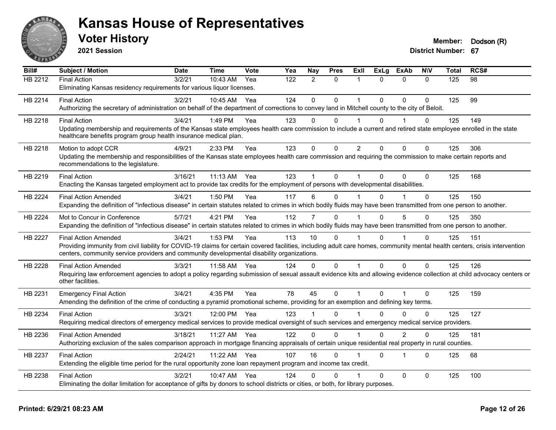

**2021 Session**

| Bill#          | <b>Subject / Motion</b>                                                                                                                                                                                                                                                    | <b>Date</b> | <b>Time</b>  | Vote | Yea              | <b>Nay</b>     | <b>Pres</b>  | ExII           | <b>ExLg</b>  | <b>ExAb</b>    | <b>NIV</b>  | <b>Total</b> | RCS#            |
|----------------|----------------------------------------------------------------------------------------------------------------------------------------------------------------------------------------------------------------------------------------------------------------------------|-------------|--------------|------|------------------|----------------|--------------|----------------|--------------|----------------|-------------|--------------|-----------------|
| <b>HB 2212</b> | <b>Final Action</b>                                                                                                                                                                                                                                                        | 3/2/21      | 10:43 AM     | Yea  | $\overline{122}$ | $\overline{2}$ | $\mathbf{0}$ | 1              | $\Omega$     | $\Omega$       | $\Omega$    | 125          | $\overline{98}$ |
|                | Eliminating Kansas residency requirements for various liquor licenses.                                                                                                                                                                                                     |             |              |      |                  |                |              |                |              |                |             |              |                 |
| HB 2214        | <b>Final Action</b>                                                                                                                                                                                                                                                        | 3/2/21      | 10:45 AM     | Yea  | 124              | $\mathbf{0}$   | $\Omega$     | 1              | $\Omega$     | $\Omega$       | 0           | 125          | 99              |
|                | Authorizing the secretary of administration on behalf of the department of corrections to convey land in Mitchell county to the city of Beloit.                                                                                                                            |             |              |      |                  |                |              |                |              |                |             |              |                 |
| HB 2218        | <b>Final Action</b>                                                                                                                                                                                                                                                        | 3/4/21      | 1:49 PM      | Yea  | 123              | $\Omega$       | 0            | 1              | 0            |                | 0           | 125          | 149             |
|                | Updating membership and requirements of the Kansas state employees health care commission to include a current and retired state employee enrolled in the state<br>healthcare benefits program group health insurance medical plan.                                        |             |              |      |                  |                |              |                |              |                |             |              |                 |
| HB 2218        | Motion to adopt CCR                                                                                                                                                                                                                                                        | 4/9/21      | 2:33 PM      | Yea  | 123              | $\mathbf 0$    | $\mathbf 0$  | $\overline{2}$ | $\mathbf 0$  | $\Omega$       | $\mathbf 0$ | 125          | 306             |
|                | Updating the membership and responsibilities of the Kansas state employees health care commission and requiring the commission to make certain reports and<br>recommendations to the legislature.                                                                          |             |              |      |                  |                |              |                |              |                |             |              |                 |
| HB 2219        | <b>Final Action</b>                                                                                                                                                                                                                                                        | 3/16/21     | 11:13 AM     | Yea  | 123              |                | 0            | 1              | $\Omega$     | $\Omega$       | 0           | 125          | 168             |
|                | Enacting the Kansas targeted employment act to provide tax credits for the employment of persons with developmental disabilities.                                                                                                                                          |             |              |      |                  |                |              |                |              |                |             |              |                 |
| HB 2224        | <b>Final Action Amended</b>                                                                                                                                                                                                                                                | 3/4/21      | 1:50 PM      | Yea  | 117              | 6              | 0            |                | $\mathbf{0}$ |                | 0           | 125          | 150             |
|                | Expanding the definition of "infectious disease" in certain statutes related to crimes in which bodily fluids may have been transmitted from one person to another.                                                                                                        |             |              |      |                  |                |              |                |              |                |             |              |                 |
| HB 2224        | Mot to Concur in Conference                                                                                                                                                                                                                                                | 5/7/21      | 4:21 PM      | Yea  | 112              | $\overline{7}$ | $\Omega$     |                | $\Omega$     | 5              | $\Omega$    | 125          | 350             |
|                | Expanding the definition of "infectious disease" in certain statutes related to crimes in which bodily fluids may have been transmitted from one person to another.                                                                                                        |             |              |      |                  |                |              |                |              |                |             |              |                 |
| <b>HB 2227</b> | <b>Final Action Amended</b>                                                                                                                                                                                                                                                | 3/4/21      | 1:53 PM      | Yea  | 113              | 10             | $\Omega$     |                | $\Omega$     |                | 0           | 125          | 151             |
|                | Providing immunity from civil liability for COVID-19 claims for certain covered facilities, including adult care homes, community mental health centers, crisis intervention<br>centers, community service providers and community developmental disability organizations. |             |              |      |                  |                |              |                |              |                |             |              |                 |
| HB 2228        | <b>Final Action Amended</b>                                                                                                                                                                                                                                                | 3/3/21      | 11:58 AM     | Yea  | 124              | 0              | $\Omega$     | 1              | $\Omega$     | 0              | 0           | 125          | 126             |
|                | Requiring law enforcement agencies to adopt a policy regarding submission of sexual assault evidence kits and allowing evidence collection at child advocacy centers or<br>other facilities.                                                                               |             |              |      |                  |                |              |                |              |                |             |              |                 |
| HB 2231        | <b>Emergency Final Action</b>                                                                                                                                                                                                                                              | 3/4/21      | 4:35 PM      | Yea  | 78               | 45             | $\mathbf 0$  | 1              | $\Omega$     | 1              | 0           | 125          | 159             |
|                | Amending the definition of the crime of conducting a pyramid promotional scheme, providing for an exemption and defining key terms.                                                                                                                                        |             |              |      |                  |                |              |                |              |                |             |              |                 |
| HB 2234        | <b>Final Action</b>                                                                                                                                                                                                                                                        | 3/3/21      | 12:00 PM Yea |      | 123              |                | 0            |                | 0            | $\Omega$       | 0           | 125          | 127             |
|                | Requiring medical directors of emergency medical services to provide medical oversight of such services and emergency medical service providers.                                                                                                                           |             |              |      |                  |                |              |                |              |                |             |              |                 |
| HB 2236        | <b>Final Action Amended</b>                                                                                                                                                                                                                                                | 3/18/21     | 11:27 AM     | Yea  | 122              | 0              | $\mathbf 0$  | 1              | $\Omega$     | $\overline{2}$ | 0           | 125          | 181             |
|                | Authorizing exclusion of the sales comparison approach in mortgage financing appraisals of certain unique residential real property in rural counties.                                                                                                                     |             |              |      |                  |                |              |                |              |                |             |              |                 |
| HB 2237        | <b>Final Action</b>                                                                                                                                                                                                                                                        | 2/24/21     | 11:22 AM     | Yea  | 107              | 16             | $\Omega$     |                | $\Omega$     | $\overline{1}$ | 0           | 125          | 68              |
|                | Extending the eligible time period for the rural opportunity zone loan repayment program and income tax credit.                                                                                                                                                            |             |              |      |                  |                |              |                |              |                |             |              |                 |
| HB 2238        | <b>Final Action</b>                                                                                                                                                                                                                                                        | 3/2/21      | 10:47 AM     | Yea  | 124              | $\Omega$       | $\Omega$     |                | $\Omega$     | $\Omega$       | 0           | 125          | 100             |
|                | Eliminating the dollar limitation for acceptance of gifts by donors to school districts or cities, or both, for library purposes.                                                                                                                                          |             |              |      |                  |                |              |                |              |                |             |              |                 |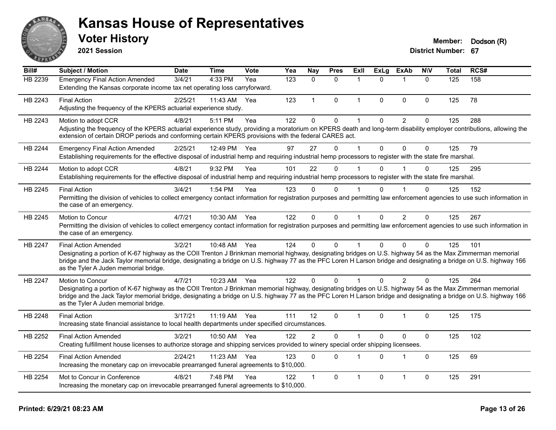

**2021 Session**

| Bill#   | Subject / Motion                                                                                                                                                                                                                                                                                                                                                                                         | <b>Date</b> | <b>Time</b>  | <b>Vote</b> | Yea | Nay            | <b>Pres</b> | ExII         | <b>ExLg</b>  | <b>ExAb</b>    | <b>NIV</b>   | <b>Total</b> | RCS# |
|---------|----------------------------------------------------------------------------------------------------------------------------------------------------------------------------------------------------------------------------------------------------------------------------------------------------------------------------------------------------------------------------------------------------------|-------------|--------------|-------------|-----|----------------|-------------|--------------|--------------|----------------|--------------|--------------|------|
| HB 2239 | <b>Emergency Final Action Amended</b><br>Extending the Kansas corporate income tax net operating loss carryforward.                                                                                                                                                                                                                                                                                      | 3/4/21      | 4:33 PM      | Yea         | 123 | $\Omega$       | $\Omega$    | 1            | $\Omega$     | 1              | $\Omega$     | 125          | 158  |
| HB 2243 | <b>Final Action</b><br>Adjusting the frequency of the KPERS actuarial experience study.                                                                                                                                                                                                                                                                                                                  | 2/25/21     | 11:43 AM     | Yea         | 123 | $\mathbf{1}$   | $\mathbf 0$ | $\mathbf{1}$ | $\mathbf{0}$ | $\mathbf{0}$   | $\mathbf{0}$ | 125          | 78   |
| HB 2243 | Motion to adopt CCR<br>Adjusting the frequency of the KPERS actuarial experience study, providing a moratorium on KPERS death and long-term disability employer contributions, allowing the<br>extension of certain DROP periods and conforming certain KPERS provisions with the federal CARES act.                                                                                                     | 4/8/21      | 5:11 PM      | Yea         | 122 | $\Omega$       | 0           | $\mathbf 1$  | $\Omega$     | $\overline{c}$ | $\pmb{0}$    | 125          | 288  |
| HB 2244 | <b>Emergency Final Action Amended</b><br>Establishing requirements for the effective disposal of industrial hemp and requiring industrial hemp processors to register with the state fire marshal.                                                                                                                                                                                                       | 2/25/21     | 12:49 PM     | Yea         | 97  | 27             | $\mathbf 0$ | 1            | $\mathbf{0}$ | $\Omega$       | $\mathbf{0}$ | 125          | 79   |
| HB 2244 | Motion to adopt CCR<br>Establishing requirements for the effective disposal of industrial hemp and requiring industrial hemp processors to register with the state fire marshal.                                                                                                                                                                                                                         | 4/8/21      | 9:32 PM      | Yea         | 101 | 22             | $\Omega$    | 1            | $\Omega$     |                | $\Omega$     | 125          | 295  |
| HB 2245 | <b>Final Action</b><br>Permitting the division of vehicles to collect emergency contact information for registration purposes and permitting law enforcement agencies to use such information in<br>the case of an emergency.                                                                                                                                                                            | 3/4/21      | 1:54 PM      | Yea         | 123 | $\Omega$       | 0           |              | 0            |                | $\Omega$     | 125          | 152  |
| HB 2245 | Motion to Concur<br>Permitting the division of vehicles to collect emergency contact information for registration purposes and permitting law enforcement agencies to use such information in<br>the case of an emergency.                                                                                                                                                                               | 4/7/21      | 10:30 AM     | Yea         | 122 | $\Omega$       | $\Omega$    | $\mathbf{1}$ | $\mathbf{0}$ | 2              | $\mathbf{0}$ | 125          | 267  |
| HB 2247 | <b>Final Action Amended</b><br>Designating a portion of K-67 highway as the COII Trenton J Brinkman memorial highway, designating bridges on U.S. highway 54 as the Max Zimmerman memorial<br>bridge and the Jack Taylor memorial bridge, designating a bridge on U.S. highway 77 as the PFC Loren H Larson bridge and designating a bridge on U.S. highway 166<br>as the Tyler A Juden memorial bridge. | 3/2/21      | 10:48 AM Yea |             | 124 | $\Omega$       | $\Omega$    | 1            | $\Omega$     | $\Omega$       | $\Omega$     | 125          | 101  |
| HB 2247 | Motion to Concur<br>Designating a portion of K-67 highway as the COII Trenton J Brinkman memorial highway, designating bridges on U.S. highway 54 as the Max Zimmerman memorial<br>bridge and the Jack Taylor memorial bridge, designating a bridge on U.S. highway 77 as the PFC Loren H Larson bridge and designating a bridge on U.S. highway 166<br>as the Tyler A Juden memorial bridge.            | 4/7/21      | 10:23 AM Yea |             | 122 | $\Omega$       | $\Omega$    |              | 0            | 2              | $\Omega$     | 125          | 264  |
| HB 2248 | <b>Final Action</b><br>Increasing state financial assistance to local health departments under specified circumstances.                                                                                                                                                                                                                                                                                  | 3/17/21     | 11:19 AM Yea |             | 111 | 12             | $\Omega$    | 1            | 0            | 1              | $\Omega$     | 125          | 175  |
| HB 2252 | <b>Final Action Amended</b><br>Creating fulfillment house licenses to authorize storage and shipping services provided to winery special order shipping licensees.                                                                                                                                                                                                                                       | 3/2/21      | 10:50 AM     | Yea         | 122 | $\overline{2}$ | $\mathbf 0$ | 1            | $\mathbf{0}$ | $\pmb{0}$      | $\pmb{0}$    | 125          | 102  |
| HB 2254 | <b>Final Action Amended</b><br>Increasing the monetary cap on irrevocable prearranged funeral agreements to \$10,000.                                                                                                                                                                                                                                                                                    | 2/24/21     | 11:23 AM     | Yea         | 123 | $\Omega$       | $\Omega$    | 1            | $\Omega$     | $\overline{1}$ | $\mathbf{0}$ | 125          | 69   |
| HB 2254 | Mot to Concur in Conference<br>Increasing the monetary cap on irrevocable prearranged funeral agreements to \$10,000.                                                                                                                                                                                                                                                                                    | 4/8/21      | 7:48 PM      | Yea         | 122 | 1              | 0           | 1            | $\mathbf 0$  | $\mathbf{1}$   | $\mathbf 0$  | 125          | 291  |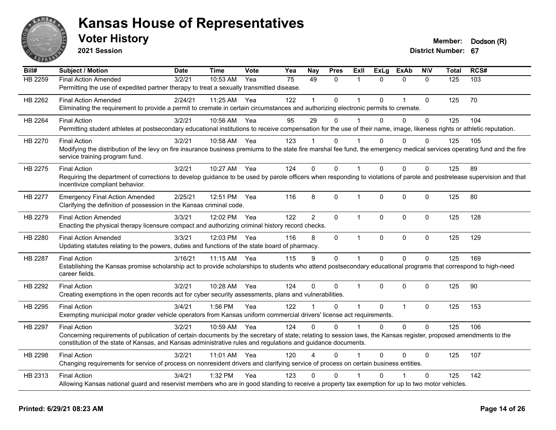

**2021 Session**

| Bill#          | <b>Subject / Motion</b>                                                                                                                                                   | <b>Date</b> | <b>Time</b> | Vote | Yea | <b>Nay</b>     | <b>Pres</b>  | ExII           | <b>ExLg</b> | <b>ExAb</b>  | <b>NIV</b>   | <b>Total</b> | RCS# |
|----------------|---------------------------------------------------------------------------------------------------------------------------------------------------------------------------|-------------|-------------|------|-----|----------------|--------------|----------------|-------------|--------------|--------------|--------------|------|
| <b>HB 2259</b> | <b>Final Action Amended</b>                                                                                                                                               | 3/2/21      | 10:53 AM    | Yea  | 75  | 49             | $\Omega$     | 1              | $\Omega$    | $\Omega$     | $\Omega$     | 125          | 103  |
|                | Permitting the use of expedited partner therapy to treat a sexually transmitted disease.                                                                                  |             |             |      |     |                |              |                |             |              |              |              |      |
| HB 2262        | <b>Final Action Amended</b>                                                                                                                                               | 2/24/21     | 11:25 AM    | Yea  | 122 | $\mathbf{1}$   | $\Omega$     | $\overline{1}$ | $\Omega$    | 1            | $\mathbf 0$  | 125          | 70   |
|                | Eliminating the requirement to provide a permit to cremate in certain circumstances and authorizing electronic permits to cremate.                                        |             |             |      |     |                |              |                |             |              |              |              |      |
| HB 2264        | <b>Final Action</b>                                                                                                                                                       | 3/2/21      | 10:56 AM    | Yea  | 95  | 29             | $\Omega$     | 1              | $\Omega$    | $\Omega$     | $\mathbf{0}$ | 125          | 104  |
|                | Permitting student athletes at postsecondary educational institutions to receive compensation for the use of their name, image, likeness rights or athletic reputation.   |             |             |      |     |                |              |                |             |              |              |              |      |
| HB 2270        | <b>Final Action</b>                                                                                                                                                       | 3/2/21      | 10:58 AM    | Yea  | 123 |                | $\Omega$     |                | 0           | 0            | $\Omega$     | 125          | 105  |
|                | Modifying the distribution of the levy on fire insurance business premiums to the state fire marshal fee fund, the emergency medical services operating fund and the fire |             |             |      |     |                |              |                |             |              |              |              |      |
|                | service training program fund.                                                                                                                                            |             |             |      |     |                |              |                |             |              |              |              |      |
| HB 2275        | <b>Final Action</b>                                                                                                                                                       | 3/2/21      | 10:27 AM    | Yea  | 124 | $\Omega$       | $\Omega$     | $\mathbf 1$    | $\Omega$    | $\Omega$     | $\Omega$     | 125          | 89   |
|                | Requiring the department of corrections to develop guidance to be used by parole officers when responding to violations of parole and postrelease supervision and that    |             |             |      |     |                |              |                |             |              |              |              |      |
|                | incentivize compliant behavior.                                                                                                                                           |             |             |      |     |                |              |                |             |              |              |              |      |
| <b>HB 2277</b> | <b>Emergency Final Action Amended</b>                                                                                                                                     | 2/25/21     | 12:51 PM    | Yea  | 116 | 8              | $\mathbf 0$  | $\mathbf{1}$   | $\mathbf 0$ | 0            | $\mathbf 0$  | 125          | 80   |
|                | Clarifying the definition of possession in the Kansas criminal code.                                                                                                      |             |             |      |     |                |              |                |             |              |              |              |      |
| HB 2279        | <b>Final Action Amended</b>                                                                                                                                               | 3/3/21      | 12:02 PM    | Yea  | 122 | $\overline{2}$ | $\mathbf{0}$ | $\mathbf{1}$   | $\Omega$    | $\Omega$     | $\Omega$     | 125          | 128  |
|                | Enacting the physical therapy licensure compact and authorizing criminal history record checks.                                                                           |             |             |      |     |                |              |                |             |              |              |              |      |
| HB 2280        | <b>Final Action Amended</b>                                                                                                                                               | 3/3/21      | 12:03 PM    | Yea  | 116 | 8              | $\mathbf 0$  | $\mathbf{1}$   | 0           | $\mathbf 0$  | $\mathbf 0$  | 125          | 129  |
|                | Updating statutes relating to the powers, duties and functions of the state board of pharmacy.                                                                            |             |             |      |     |                |              |                |             |              |              |              |      |
| HB 2287        | <b>Final Action</b>                                                                                                                                                       | 3/16/21     | 11:15 AM    | Yea  | 115 | 9              | $\mathbf 0$  | $\mathbf{1}$   | $\mathbf 0$ | $\mathbf 0$  | $\mathbf 0$  | 125          | 169  |
|                | Establishing the Kansas promise scholarship act to provide scholarships to students who attend postsecondary educational programs that correspond to high-need            |             |             |      |     |                |              |                |             |              |              |              |      |
|                | career fields.                                                                                                                                                            |             |             |      |     |                |              |                |             |              |              |              |      |
| HB 2292        | <b>Final Action</b>                                                                                                                                                       | 3/2/21      | 10:28 AM    | Yea  | 124 | 0              | $\Omega$     | $\mathbf{1}$   | $\Omega$    | $\Omega$     | $\Omega$     | 125          | 90   |
|                | Creating exemptions in the open records act for cyber security assessments, plans and vulnerabilities.                                                                    |             |             |      |     |                |              |                |             |              |              |              |      |
| HB 2295        | <b>Final Action</b>                                                                                                                                                       | 3/4/21      | 1:56 PM     | Yea  | 122 | 1              | $\Omega$     | $\overline{1}$ | $\Omega$    | $\mathbf{1}$ | $\mathbf 0$  | 125          | 153  |
|                | Exempting municipal motor grader vehicle operators from Kansas uniform commercial drivers' license act requirements.                                                      |             |             |      |     |                |              |                |             |              |              |              |      |
| HB 2297        | <b>Final Action</b>                                                                                                                                                       | 3/2/21      | 10:59 AM    | Yea  | 124 | 0              | $\Omega$     | $\mathbf 1$    | $\Omega$    | $\Omega$     | $\mathbf{0}$ | 125          | 106  |
|                | Concerning requirements of publication of certain documents by the secretary of state; relating to session laws, the Kansas register, proposed amendments to the          |             |             |      |     |                |              |                |             |              |              |              |      |
|                | constitution of the state of Kansas, and Kansas administrative rules and regulations and guidance documents.                                                              |             |             |      |     |                |              |                |             |              |              |              |      |
| HB 2298        | <b>Final Action</b>                                                                                                                                                       | 3/2/21      | 11:01 AM    | Yea  | 120 | 4              | $\Omega$     |                | $\Omega$    | 0            | $\Omega$     | 125          | 107  |
|                | Changing requirements for service of process on nonresident drivers and clarifying service of process on certain business entities.                                       |             |             |      |     |                |              |                |             |              |              |              |      |
| HB 2313        | <b>Final Action</b>                                                                                                                                                       | 3/4/21      | 1:32 PM     | Yea  | 123 | 0              | $\Omega$     |                |             |              | $\Omega$     | 125          | 142  |
|                | Allowing Kansas national guard and reservist members who are in good standing to receive a property tax exemption for up to two motor vehicles.                           |             |             |      |     |                |              |                |             |              |              |              |      |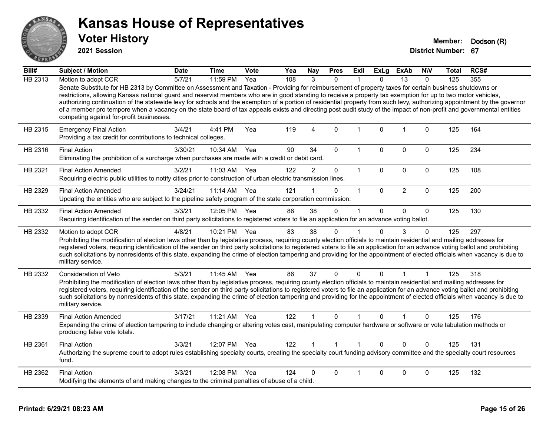

**2021 Session**

| Bill#          | Subject / Motion                                                                                                                                                                                                                                                                                                                                                                                                                                                                                                                                                                                                                                                                                                          | <b>Date</b> | Time       | <b>Vote</b> | Yea | <b>Nay</b>     | <b>Pres</b>  | Exll         | <b>ExLg</b>  | <b>ExAb</b>    | <b>NIV</b>   | Total | RCS# |
|----------------|---------------------------------------------------------------------------------------------------------------------------------------------------------------------------------------------------------------------------------------------------------------------------------------------------------------------------------------------------------------------------------------------------------------------------------------------------------------------------------------------------------------------------------------------------------------------------------------------------------------------------------------------------------------------------------------------------------------------------|-------------|------------|-------------|-----|----------------|--------------|--------------|--------------|----------------|--------------|-------|------|
| <b>HB 2313</b> | Motion to adopt CCR                                                                                                                                                                                                                                                                                                                                                                                                                                                                                                                                                                                                                                                                                                       | 5/7/21      | 11:59 PM   | Yea         | 108 | 3              | $\Omega$     |              | $\Omega$     | 13             | $\Omega$     | 125   | 355  |
|                | Senate Substitute for HB 2313 by Committee on Assessment and Taxation - Providing for reimbursement of property taxes for certain business shutdowns or<br>restrictions, allowing Kansas national guard and reservist members who are in good standing to receive a property tax exemption for up to two motor vehicles,<br>authorizing continuation of the statewide levy for schools and the exemption of a portion of residential property from such levy, authorizing appointment by the governor<br>of a member pro tempore when a vacancy on the state board of tax appeals exists and directing post audit study of the impact of non-profit and governmental entities<br>competing against for-profit businesses. |             |            |             |     |                |              |              |              |                |              |       |      |
| HB 2315        | <b>Emergency Final Action</b><br>Providing a tax credit for contributions to technical colleges.                                                                                                                                                                                                                                                                                                                                                                                                                                                                                                                                                                                                                          | 3/4/21      | 4:41 PM    | Yea         | 119 | $\overline{A}$ | $\Omega$     | $\mathbf{1}$ | $\mathbf{0}$ | $\overline{1}$ | $\mathbf{0}$ | 125   | 164  |
| HB 2316        | <b>Final Action</b><br>Eliminating the prohibition of a surcharge when purchases are made with a credit or debit card.                                                                                                                                                                                                                                                                                                                                                                                                                                                                                                                                                                                                    | 3/30/21     | 10:34 AM   | Yea         | 90  | 34             | $\Omega$     | $\mathbf{1}$ | $\Omega$     | 0              | 0            | 125   | 234  |
| HB 2321        | <b>Final Action Amended</b><br>Requiring electric public utilities to notify cities prior to construction of urban electric transmission lines.                                                                                                                                                                                                                                                                                                                                                                                                                                                                                                                                                                           | 3/2/21      | 11:03 AM   | Yea         | 122 | $\overline{2}$ | 0            | $\mathbf{1}$ | $\mathbf{0}$ | 0              | $\mathbf{0}$ | 125   | 108  |
| HB 2329        | <b>Final Action Amended</b><br>Updating the entities who are subject to the pipeline safety program of the state corporation commission.                                                                                                                                                                                                                                                                                                                                                                                                                                                                                                                                                                                  | 3/24/21     | $11:14$ AM | Yea         | 121 |                | 0            | $\mathbf{1}$ | $\Omega$     | $\overline{2}$ | $\mathbf 0$  | 125   | 200  |
| HB 2332        | <b>Final Action Amended</b><br>Requiring identification of the sender on third party solicitations to registered voters to file an application for an advance voting ballot.                                                                                                                                                                                                                                                                                                                                                                                                                                                                                                                                              | 3/3/21      | 12:05 PM   | Yea         | 86  | 38             | 0            | 1            | $\mathbf{0}$ | 0              | $\mathbf 0$  | 125   | 130  |
| HB 2332        | Motion to adopt CCR<br>Prohibiting the modification of election laws other than by legislative process, requiring county election officials to maintain residential and mailing addresses for<br>registered voters, requiring identification of the sender on third party solicitations to registered voters to file an application for an advance voting ballot and prohibiting<br>such solicitations by nonresidents of this state, expanding the crime of election tampering and providing for the appointment of elected officials when vacancy is due to<br>military service.                                                                                                                                        | 4/8/21      | 10:21 PM   | Yea         | 83  | 38             | 0            | 1            | $\Omega$     | 3              | 0            | 125   | 297  |
| HB 2332        | Consideration of Veto<br>Prohibiting the modification of election laws other than by legislative process, requiring county election officials to maintain residential and mailing addresses for<br>registered voters, requiring identification of the sender on third party solicitations to registered voters to file an application for an advance voting ballot and prohibiting<br>such solicitations by nonresidents of this state, expanding the crime of election tampering and providing for the appointment of elected officials when vacancy is due to<br>military service.                                                                                                                                      | 5/3/21      | 11:45 AM   | Yea         | 86  | 37             | $\Omega$     | $\Omega$     | $\Omega$     | 1              | 1            | 125   | 318  |
| HB 2339        | <b>Final Action Amended</b><br>Expanding the crime of election tampering to include changing or altering votes cast, manipulating computer hardware or software or vote tabulation methods or<br>producing false vote totals.                                                                                                                                                                                                                                                                                                                                                                                                                                                                                             | 3/17/21     | 11:21 AM   | Yea         | 122 |                | $\Omega$     | 1            | $\Omega$     |                | $\Omega$     | 125   | 176  |
| HB 2361        | <b>Final Action</b><br>Authorizing the supreme court to adopt rules establishing specialty courts, creating the specialty court funding advisory committee and the specialty court resources<br>fund.                                                                                                                                                                                                                                                                                                                                                                                                                                                                                                                     | 3/3/21      | 12:07 PM   | Yea         | 122 |                | $\mathbf{1}$ | $\mathbf{1}$ | $\Omega$     | $\Omega$       | $\Omega$     | 125   | 131  |
| HB 2362        | <b>Final Action</b><br>Modifying the elements of and making changes to the criminal penalties of abuse of a child.                                                                                                                                                                                                                                                                                                                                                                                                                                                                                                                                                                                                        | 3/3/21      | 12:08 PM   | Yea         | 124 | 0              | 0            | 1            | $\Omega$     | 0              | 0            | 125   | 132  |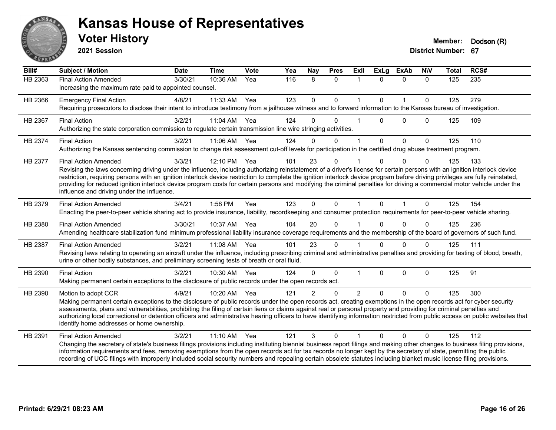

**2021 Session**

| Bill#   | <b>Subject / Motion</b>                                                                                                                                                                                                                                                                                                                                                                                                                                                                                                                                                                                             | <b>Date</b> | <b>Time</b>  | <b>Vote</b> | Yea | Nay         | <b>Pres</b>  | Exll           | <b>ExLg</b>  | <b>ExAb</b>  | <b>NIV</b>  | <b>Total</b> | RCS# |
|---------|---------------------------------------------------------------------------------------------------------------------------------------------------------------------------------------------------------------------------------------------------------------------------------------------------------------------------------------------------------------------------------------------------------------------------------------------------------------------------------------------------------------------------------------------------------------------------------------------------------------------|-------------|--------------|-------------|-----|-------------|--------------|----------------|--------------|--------------|-------------|--------------|------|
| HB 2363 | <b>Final Action Amended</b><br>Increasing the maximum rate paid to appointed counsel.                                                                                                                                                                                                                                                                                                                                                                                                                                                                                                                               | 3/30/21     | 10:36 AM     | Yea         | 116 | 8           | $\Omega$     | $\mathbf 1$    | $\Omega$     | $\Omega$     | $\Omega$    | 125          | 235  |
| HB 2366 | <b>Emergency Final Action</b><br>Requiring prosecutors to disclose their intent to introduce testimony from a jailhouse witness and to forward information to the Kansas bureau of investigation.                                                                                                                                                                                                                                                                                                                                                                                                                   | 4/8/21      | 11:33 AM     | Yea         | 123 | $\mathbf 0$ | $\mathbf{0}$ | $\mathbf{1}$   | $\mathbf{0}$ | $\mathbf{1}$ | $\Omega$    | 125          | 279  |
| HB 2367 | <b>Final Action</b><br>Authorizing the state corporation commission to regulate certain transmission line wire stringing activities.                                                                                                                                                                                                                                                                                                                                                                                                                                                                                | 3/2/21      | 11:04 AM Yea |             | 124 | $\Omega$    | $\Omega$     |                | $\Omega$     | $\Omega$     | $\Omega$    | 125          | 109  |
| HB 2374 | <b>Final Action</b><br>Authorizing the Kansas sentencing commission to change risk assessment cut-off levels for participation in the certified drug abuse treatment program.                                                                                                                                                                                                                                                                                                                                                                                                                                       | 3/2/21      | 11:06 AM     | Yea         | 124 | $\Omega$    | $\Omega$     |                | $\mathbf{0}$ | $\mathbf 0$  | $\mathbf 0$ | 125          | 110  |
| HB 2377 | <b>Final Action Amended</b><br>Revising the laws concerning driving under the influence, including authorizing reinstatement of a driver's license for certain persons with an ignition interlock device<br>restriction, requiring persons with an ignition interlock device restriction to complete the ignition interlock device program before driving privileges are fully reinstated,<br>providing for reduced ignition interlock device program costs for certain persons and modifying the criminal penalties for driving a commercial motor vehicle under the<br>influence and driving under the influence. | 3/3/21      | 12:10 PM     | Yea         | 101 | 23          | $\Omega$     |                | $\Omega$     | $\Omega$     | $\Omega$    | 125          | 133  |
| HB 2379 | <b>Final Action Amended</b><br>Enacting the peer-to-peer vehicle sharing act to provide insurance, liability, recordkeeping and consumer protection requirements for peer-to-peer vehicle sharing.                                                                                                                                                                                                                                                                                                                                                                                                                  | 3/4/21      | 1:58 PM      | Yea         | 123 | $\Omega$    | $\Omega$     | 1              | $\Omega$     | $\mathbf{1}$ | $\Omega$    | 125          | 154  |
| HB 2380 | <b>Final Action Amended</b><br>Amending healthcare stabilization fund minimum professional liability insurance coverage requirements and the membership of the board of governors of such fund.                                                                                                                                                                                                                                                                                                                                                                                                                     | 3/30/21     | 10:37 AM     | Yea         | 104 | 20          | $\Omega$     |                | $\Omega$     | $\Omega$     | $\Omega$    | 125          | 236  |
| HB 2387 | <b>Final Action Amended</b><br>Revising laws relating to operating an aircraft under the influence, including prescribing criminal and administrative penalties and providing for testing of blood, breath,<br>urine or other bodily substances, and preliminary screening tests of breath or oral fluid.                                                                                                                                                                                                                                                                                                           | 3/2/21      | 11:08 AM     | Yea         | 101 | 23          | $\mathbf{0}$ |                | 0            | $\Omega$     | $\Omega$    | 125          | 111  |
| HB 2390 | <b>Final Action</b><br>Making permanent certain exceptions to the disclosure of public records under the open records act.                                                                                                                                                                                                                                                                                                                                                                                                                                                                                          | 3/2/21      | 10:30 AM     | Yea         | 124 | $\Omega$    | $\Omega$     |                | $\Omega$     | $\mathbf 0$  | 0           | 125          | 91   |
| HB 2390 | Motion to adopt CCR<br>Making permanent certain exceptions to the disclosure of public records under the open records act, creating exemptions in the open records act for cyber security<br>assessments, plans and vulnerabilities, prohibiting the filing of certain liens or claims against real or personal property and providing for criminal penalties and<br>authorizing local correctional or detention officers and administrative hearing officers to have identifying information restricted from public access on public websites that<br>identify home addresses or home ownership.                   | 4/9/21      | 10:20 AM     | Yea         | 121 | 2           | $\Omega$     | $\overline{2}$ | $\Omega$     | $\Omega$     | $\Omega$    | 125          | 300  |
| HB 2391 | <b>Final Action Amended</b><br>Changing the secretary of state's business filings provisions including instituting biennial business report filings and making other changes to business filing provisions,<br>information requirements and fees, removing exemptions from the open records act for tax records no longer kept by the secretary of state, permitting the public<br>recording of UCC filings with improperly included social security numbers and repealing certain obsolete statutes including blanket music license filing provisions.                                                             | 3/2/21      | $11:10$ AM   | Yea         | 121 | 3           | $\Omega$     |                | $\Omega$     | $\Omega$     | $\Omega$    | 125          | 112  |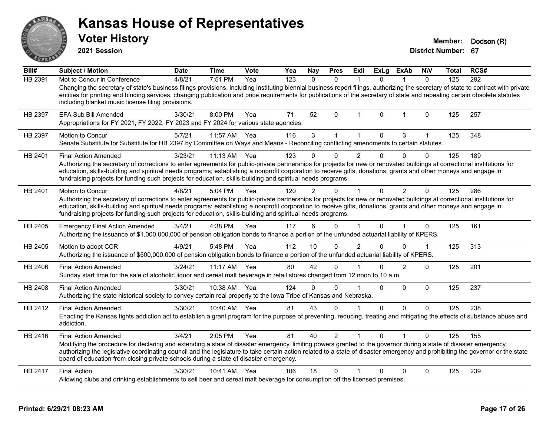| ANSAR              | <b>Kansas House of Representatives</b><br><b>Voter History</b><br>2021 Session                                                                                                                                                                                                                                                                                                                                                                                                              |             |              |             |     |               |                |                |              |                |              | Member:<br><b>District Number: 67</b> | Dodson (R) |
|--------------------|---------------------------------------------------------------------------------------------------------------------------------------------------------------------------------------------------------------------------------------------------------------------------------------------------------------------------------------------------------------------------------------------------------------------------------------------------------------------------------------------|-------------|--------------|-------------|-----|---------------|----------------|----------------|--------------|----------------|--------------|---------------------------------------|------------|
| $\overline{Bill#}$ | <b>Subject / Motion</b>                                                                                                                                                                                                                                                                                                                                                                                                                                                                     | <b>Date</b> | <b>Time</b>  | <b>Vote</b> | Yea | Nay           | <b>Pres</b>    | ExII           | <b>ExLg</b>  | <b>ExAb</b>    | <b>NIV</b>   | Total                                 | RCS#       |
| <b>HB 2391</b>     | Mot to Concur in Conference<br>Changing the secretary of state's business filings provisions, including instituting biennial business report filings, authorizing the secretary of state to contract with private<br>entities for printing and binding services, changing publication and price requirements for publications of the secretary of state and repealing certain obsolete statutes<br>including blanket music license filing provisions.                                       | 4/8/21      | 7:51 PM      | Yea         | 123 | $\Omega$      | $\mathbf{0}$   | $\overline{1}$ | $\mathbf{0}$ | $\mathbf{1}$   | $\mathbf{0}$ | 125                                   | 292        |
| HB 2397            | <b>EFA Sub Bill Amended</b><br>Appropriations for FY 2021, FY 2022, FY 2023 and FY 2024 for various state agencies.                                                                                                                                                                                                                                                                                                                                                                         | 3/30/21     | 8:00 PM      | Yea         | 71  | 52            | $\mathbf{0}$   | $\mathbf 1$    | $\mathbf{0}$ | $\mathbf 1$    | 0            | 125                                   | 257        |
| HB 2397            | <b>Motion to Concur</b><br>Senate Substitute for Substitute for HB 2397 by Committee on Ways and Means - Reconciling conflicting amendments to certain statutes.                                                                                                                                                                                                                                                                                                                            | 5/7/21      | 11:57 AM     | Yea         | 116 | 3             | $\mathbf{1}$   | $\mathbf{1}$   | 0            | 3              | 1            | 125                                   | 348        |
| HB 2401            | <b>Final Action Amended</b><br>Authorizing the secretary of corrections to enter agreements for public-private partnerships for projects for new or renovated buildings at correctional institutions for<br>education, skills-building and spiritual needs programs; establishing a nonprofit corporation to receive gifts, donations, grants and other moneys and engage in<br>fundraising projects for funding such projects for education, skills-building and spiritual needs programs. | 3/23/21     | $11:13$ AM   | Yea         | 123 | $\Omega$      | 0              | $\overline{2}$ | 0            | $\Omega$       | $\Omega$     | 125                                   | 189        |
| HB 2401            | Motion to Concur<br>Authorizing the secretary of corrections to enter agreements for public-private partnerships for projects for new or renovated buildings at correctional institutions for<br>education, skills-building and spiritual needs programs; establishing a nonprofit corporation to receive gifts, donations, grants and other moneys and engage in<br>fundraising projects for funding such projects for education, skills-building and spiritual needs programs.            | 4/8/21      | 5:04 PM      | Yea         | 120 | $\mathcal{P}$ | 0              | $\mathbf{1}$   | $\mathbf{0}$ | 2              | $\Omega$     | 125                                   | 286        |
| HB 2405            | <b>Emergency Final Action Amended</b><br>Authorizing the issuance of \$1,000,000,000 of pension obligation bonds to finance a portion of the unfunded actuarial liability of KPERS.                                                                                                                                                                                                                                                                                                         | 3/4/21      | 4:38 PM      | Yea         | 117 | 6             | $\Omega$       | 1              | $\Omega$     |                | $\Omega$     | 125                                   | 161        |
| HB 2405            | Motion to adopt CCR<br>Authorizing the issuance of \$500,000,000 of pension obligation bonds to finance a portion of the unfunded actuarial liability of KPERS.                                                                                                                                                                                                                                                                                                                             | 4/9/21      | 5:48 PM      | Yea         | 112 | 10            | $\Omega$       | $\overline{2}$ | $\Omega$     | $\Omega$       | $\mathbf 1$  | 125                                   | 313        |
| HB 2406            | <b>Final Action Amended</b><br>Sunday start time for the sale of alcoholic liquor and cereal malt beverage in retail stores changed from 12 noon to 10 a.m.                                                                                                                                                                                                                                                                                                                                 | 3/24/21     | 11:17 AM Yea |             | 80  | 42            | $\Omega$       | 1              | 0            | $\overline{2}$ | $\Omega$     | 125                                   | 201        |
| HB 2408            | <b>Final Action Amended</b><br>Authorizing the state historical society to convey certain real property to the Iowa Tribe of Kansas and Nebraska.                                                                                                                                                                                                                                                                                                                                           | 3/30/21     | 10:38 AM Yea |             | 124 | $\Omega$      | $\mathbf{0}$   | 1              | $\mathbf{0}$ | $\Omega$       | $\Omega$     | 125                                   | 237        |
| HB 2412            | <b>Final Action Amended</b><br>Enacting the Kansas fights addiction act to establish a grant program for the purpose of preventing, reducing, treating and mitigating the effects of substance abuse and<br>addiction.                                                                                                                                                                                                                                                                      | 3/30/21     | 10:40 AM Yea |             | 81  | 43            | $\Omega$       | $\mathbf{1}$   | 0            | $\Omega$       | $\mathbf 0$  | 125                                   | 238        |
| HB 2416            | <b>Final Action Amended</b><br>Modifying the procedure for declaring and extending a state of disaster emergency, limiting powers granted to the governor during a state of disaster emergency,<br>authorizing the legislative coordinating council and the legislature to take certain action related to a state of disaster emergency and prohibiting the governor or the state<br>board of education from closing private schools during a state of disaster emergency.                  | 3/4/21      | 2:05 PM      | Yea         | 81  | 40            | $\overline{2}$ | 1              | $\mathbf{0}$ |                | $\Omega$     | 125                                   | 155        |
| HB 2417            | <b>Final Action</b><br>Allowing clubs and drinking establishments to sell beer and cereal malt beverage for consumption off the licensed premises.                                                                                                                                                                                                                                                                                                                                          | 3/30/21     | 10:41 AM Yea |             | 106 | 18            | $\Omega$       |                | 0            | $\Omega$       | $\Omega$     | 125                                   | 239        |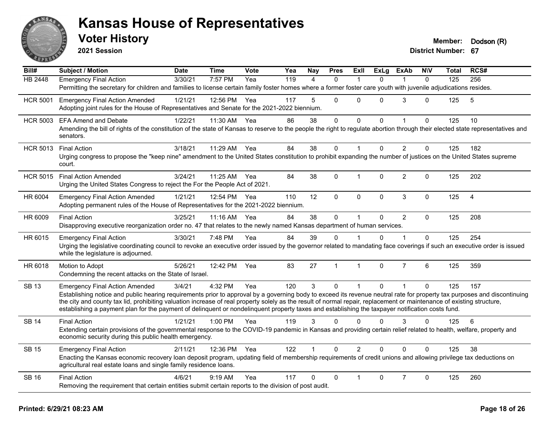

**2021 Session**

| Bill#           | Subject / Motion                                                                                                                                                                                                                                                                                                                                                                                                                                                                                      | <b>Date</b> | <b>Time</b>  | Vote | Yea | <b>Nay</b>     | <b>Pres</b>  | <b>Exll</b>    | <b>ExLg</b>  | <b>ExAb</b>    | <b>N\V</b>   | Total | RCS#           |
|-----------------|-------------------------------------------------------------------------------------------------------------------------------------------------------------------------------------------------------------------------------------------------------------------------------------------------------------------------------------------------------------------------------------------------------------------------------------------------------------------------------------------------------|-------------|--------------|------|-----|----------------|--------------|----------------|--------------|----------------|--------------|-------|----------------|
| <b>HB 2448</b>  | <b>Emergency Final Action</b>                                                                                                                                                                                                                                                                                                                                                                                                                                                                         | 3/30/21     | 7:57 PM      | Yea  | 119 | $\overline{4}$ | $\mathbf{0}$ |                | $\Omega$     | $\mathbf 1$    | $\mathbf{0}$ | 125   | 256            |
|                 | Permitting the secretary for children and families to license certain family foster homes where a former foster care youth with juvenile adjudications resides.                                                                                                                                                                                                                                                                                                                                       |             |              |      |     |                |              |                |              |                |              |       |                |
| <b>HCR 5001</b> | <b>Emergency Final Action Amended</b>                                                                                                                                                                                                                                                                                                                                                                                                                                                                 | 1/21/21     | 12:56 PM Yea |      | 117 | 5              | $\Omega$     | $\Omega$       | 0            | 3              | $\Omega$     | 125   | 5              |
|                 | Adopting joint rules for the House of Representatives and Senate for the 2021-2022 biennium.                                                                                                                                                                                                                                                                                                                                                                                                          |             |              |      |     |                |              |                |              |                |              |       |                |
| <b>HCR 5003</b> | <b>EFA Amend and Debate</b>                                                                                                                                                                                                                                                                                                                                                                                                                                                                           | 1/22/21     | 11:30 AM     | Yea  | 86  | 38             | 0            | $\mathbf 0$    | $\mathbf 0$  | $\overline{1}$ | $\mathbf 0$  | 125   | 10             |
|                 | Amending the bill of rights of the constitution of the state of Kansas to reserve to the people the right to regulate abortion through their elected state representatives and<br>senators.                                                                                                                                                                                                                                                                                                           |             |              |      |     |                |              |                |              |                |              |       |                |
| <b>HCR 5013</b> | <b>Final Action</b>                                                                                                                                                                                                                                                                                                                                                                                                                                                                                   | 3/18/21     | 11:29 AM     | Yea  | 84  | 38             | 0            | $\mathbf{1}$   | $\mathbf{0}$ | $\overline{2}$ | $\mathbf{0}$ | 125   | 182            |
|                 | Urging congress to propose the "keep nine" amendment to the United States constitution to prohibit expanding the number of justices on the United States supreme<br>court.                                                                                                                                                                                                                                                                                                                            |             |              |      |     |                |              |                |              |                |              |       |                |
| <b>HCR 5015</b> | <b>Final Action Amended</b><br>Urging the United States Congress to reject the For the People Act of 2021.                                                                                                                                                                                                                                                                                                                                                                                            | 3/24/21     | 11:25 AM Yea |      | 84  | 38             | 0            | 1              | $\Omega$     | $\overline{c}$ | $\Omega$     | 125   | 202            |
| HR 6004         | <b>Emergency Final Action Amended</b><br>Adopting permanent rules of the House of Representatives for the 2021-2022 biennium.                                                                                                                                                                                                                                                                                                                                                                         | 1/21/21     | 12:54 PM Yea |      | 110 | 12             | $\Omega$     | $\Omega$       | $\mathbf{0}$ | $\sqrt{3}$     | $\pmb{0}$    | 125   | $\overline{4}$ |
| HR 6009         | <b>Final Action</b><br>Disapproving executive reorganization order no. 47 that relates to the newly named Kansas department of human services.                                                                                                                                                                                                                                                                                                                                                        | 3/25/21     | 11:16 AM     | Yea  | 84  | 38             | $\mathbf 0$  | $\mathbf{1}$   | $\mathbf 0$  | $\overline{2}$ | $\Omega$     | 125   | 208            |
| HR 6015         | <b>Emergency Final Action</b>                                                                                                                                                                                                                                                                                                                                                                                                                                                                         | 3/30/21     | 7:48 PM      | Yea  | 84  | 39             | $\Omega$     |                | $\Omega$     |                | $\Omega$     | 125   | 254            |
|                 | Urging the legislative coordinating council to revoke an executive order issued by the governor related to mandating face coverings if such an executive order is issued<br>while the legislature is adjourned.                                                                                                                                                                                                                                                                                       |             |              |      |     |                |              |                |              |                |              |       |                |
| HR 6018         | Motion to Adopt<br>Condemning the recent attacks on the State of Israel.                                                                                                                                                                                                                                                                                                                                                                                                                              | 5/26/21     | 12:42 PM     | Yea  | 83  | 27             | $\mathbf{1}$ | $\mathbf{1}$   | 0            | $\overline{7}$ | 6            | 125   | 359            |
| <b>SB 13</b>    | <b>Emergency Final Action Amended</b>                                                                                                                                                                                                                                                                                                                                                                                                                                                                 | 3/4/21      | 4:32 PM      | Yea  | 120 | 3              | $\Omega$     | $\mathbf 1$    | $\mathbf{0}$ | $\overline{1}$ | $\Omega$     | 125   | 157            |
|                 | Establishing notice and public hearing requirements prior to approval by a governing body to exceed its revenue neutral rate for property tax purposes and discontinuing<br>the city and county tax lid, prohibiting valuation increase of real property solely as the result of normal repair, replacement or maintenance of existing structure,<br>establishing a payment plan for the payment of delinquent or nondelinquent property taxes and establishing the taxpayer notification costs fund. |             |              |      |     |                |              |                |              |                |              |       |                |
| <b>SB 14</b>    | <b>Final Action</b>                                                                                                                                                                                                                                                                                                                                                                                                                                                                                   | 1/21/21     | 1:00 PM      | Yea  | 119 | 3              | $\Omega$     | 0              | $\Omega$     | 3              | $\Omega$     | 125   | 6              |
|                 | Extending certain provisions of the governmental response to the COVID-19 pandemic in Kansas and providing certain relief related to health, welfare, property and<br>economic security during this public health emergency.                                                                                                                                                                                                                                                                          |             |              |      |     |                |              |                |              |                |              |       |                |
| <b>SB 15</b>    | <b>Emergency Final Action</b>                                                                                                                                                                                                                                                                                                                                                                                                                                                                         | 2/11/21     | 12:36 PM Yea |      | 122 |                | $\Omega$     | $\overline{2}$ | $\Omega$     | $\Omega$       | $\Omega$     | 125   | 38             |
|                 | Enacting the Kansas economic recovery loan deposit program, updating field of membership requirements of credit unions and allowing privilege tax deductions on<br>agricultural real estate loans and single family residence loans.                                                                                                                                                                                                                                                                  |             |              |      |     |                |              |                |              |                |              |       |                |
| <b>SB 16</b>    | <b>Final Action</b>                                                                                                                                                                                                                                                                                                                                                                                                                                                                                   | 4/6/21      | $9:19$ AM    | Yea  | 117 | 0              | $\Omega$     |                | $\Omega$     | $\overline{7}$ | 0            | 125   | 260            |
|                 | Removing the requirement that certain entities submit certain reports to the division of post audit.                                                                                                                                                                                                                                                                                                                                                                                                  |             |              |      |     |                |              |                |              |                |              |       |                |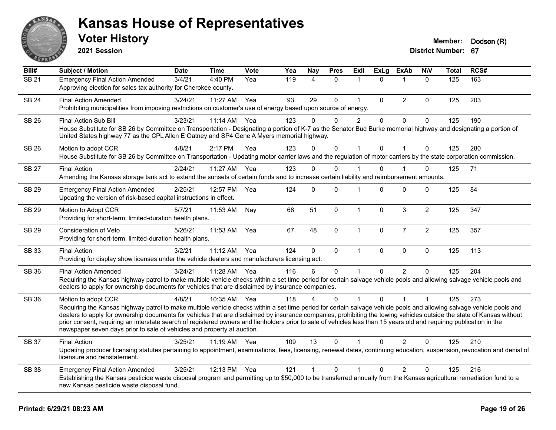

**2021 Session**

| Bill#             | Subject / Motion                                                                                                                                                                                                                                                                                                                                                                                                                                                                                                                                                                                                         | <b>Date</b> | <b>Time</b>  | <b>Vote</b> | Yea | <b>Nay</b>   | <b>Pres</b> | ExIl           | <b>ExLg</b>  | <b>ExAb</b>    | <b>NIV</b>     | <b>Total</b> | RCS# |
|-------------------|--------------------------------------------------------------------------------------------------------------------------------------------------------------------------------------------------------------------------------------------------------------------------------------------------------------------------------------------------------------------------------------------------------------------------------------------------------------------------------------------------------------------------------------------------------------------------------------------------------------------------|-------------|--------------|-------------|-----|--------------|-------------|----------------|--------------|----------------|----------------|--------------|------|
| $\overline{SB21}$ | <b>Emergency Final Action Amended</b><br>Approving election for sales tax authority for Cherokee county.                                                                                                                                                                                                                                                                                                                                                                                                                                                                                                                 | 3/4/21      | 4:40 PM      | Yea         | 119 | 4            | $\Omega$    | 1              | $\Omega$     | 1              | $\mathbf{0}$   | 125          | 163  |
| <b>SB 24</b>      | <b>Final Action Amended</b><br>Prohibiting municipalities from imposing restrictions on customer's use of energy based upon source of energy.                                                                                                                                                                                                                                                                                                                                                                                                                                                                            | 3/24/21     | 11:27 AM     | Yea         | 93  | 29           | 0           | $\mathbf{1}$   | $\mathbf 0$  | $\overline{2}$ | $\mathbf 0$    | 125          | 203  |
| <b>SB 26</b>      | Final Action Sub Bill<br>House Substitute for SB 26 by Committee on Transportation - Designating a portion of K-7 as the Senator Bud Burke memorial highway and designating a portion of<br>United States highway 77 as the CPL Allen E Oatney and SP4 Gene A Myers memorial highway.                                                                                                                                                                                                                                                                                                                                    | 3/23/21     | 11:14 AM     | Yea         | 123 | 0            | $\Omega$    | $\overline{c}$ | $\mathbf{0}$ | $\mathbf 0$    | $\mathbf 0$    | 125          | 190  |
| SB 26             | Motion to adopt CCR<br>House Substitute for SB 26 by Committee on Transportation - Updating motor carrier laws and the regulation of motor carriers by the state corporation commission.                                                                                                                                                                                                                                                                                                                                                                                                                                 | 4/8/21      | 2:17 PM      | Yea         | 123 | $\Omega$     | $\Omega$    | $\mathbf{1}$   | $\mathbf{0}$ | $\overline{1}$ | $\mathbf{0}$   | 125          | 280  |
| <b>SB 27</b>      | <b>Final Action</b><br>Amending the Kansas storage tank act to extend the sunsets of certain funds and to increase certain liability and reimbursement amounts.                                                                                                                                                                                                                                                                                                                                                                                                                                                          | 2/24/21     | 11:27 AM Yea |             | 123 | $\Omega$     | $\Omega$    | 1              | $\Omega$     | 1              | 0              | 125          | 71   |
| SB 29             | <b>Emergency Final Action Amended</b><br>Updating the version of risk-based capital instructions in effect.                                                                                                                                                                                                                                                                                                                                                                                                                                                                                                              | 2/25/21     | 12:57 PM     | Yea         | 124 | 0            | $\Omega$    | 1              | 0            | $\Omega$       | 0              | 125          | 84   |
| SB 29             | Motion to Adopt CCR<br>Providing for short-term, limited-duration health plans.                                                                                                                                                                                                                                                                                                                                                                                                                                                                                                                                          | 5/7/21      | 11:53 AM     | Nay         | 68  | 51           | 0           | $\mathbf{1}$   | $\mathbf 0$  | $\mathfrak{S}$ | $\overline{2}$ | 125          | 347  |
| SB 29             | Consideration of Veto<br>Providing for short-term, limited-duration health plans.                                                                                                                                                                                                                                                                                                                                                                                                                                                                                                                                        | 5/26/21     | 11:53 AM     | Yea         | 67  | 48           | 0           | $\mathbf{1}$   | 0            | $\overline{7}$ | $\overline{2}$ | 125          | 357  |
| <b>SB 33</b>      | <b>Final Action</b><br>Providing for display show licenses under the vehicle dealers and manufacturers licensing act.                                                                                                                                                                                                                                                                                                                                                                                                                                                                                                    | 3/2/21      | 11:12 AM     | Yea         | 124 | $\mathbf{0}$ | 0           | $\mathbf{1}$   | $\mathbf{0}$ | $\mathbf{0}$   | $\mathbf 0$    | 125          | 113  |
| SB 36             | <b>Final Action Amended</b><br>Requiring the Kansas highway patrol to make multiple vehicle checks within a set time period for certain salvage vehicle pools and allowing salvage vehicle pools and<br>dealers to apply for ownership documents for vehicles that are disclaimed by insurance companies.                                                                                                                                                                                                                                                                                                                | 3/24/21     | 11:28 AM     | Yea         | 116 | 6            | $\mathbf 0$ | 1              | $\Omega$     | $\overline{2}$ | $\mathbf 0$    | 125          | 204  |
| <b>SB 36</b>      | Motion to adopt CCR<br>Requiring the Kansas highway patrol to make multiple vehicle checks within a set time period for certain salvage vehicle pools and allowing salvage vehicle pools and<br>dealers to apply for ownership documents for vehicles that are disclaimed by insurance companies, prohibiting the towing vehicles outside the state of Kansas without<br>prior consent, requiring an interstate search of registered owners and lienholders prior to sale of vehicles less than 15 years old and requiring publication in the<br>newspaper seven days prior to sale of vehicles and property at auction. | 4/8/21      | 10:35 AM     | Yea         | 118 |              | $\Omega$    | 1              | $\Omega$     |                |                | 125          | 273  |
| <b>SB 37</b>      | <b>Final Action</b><br>Updating producer licensing statutes pertaining to appointment, examinations, fees, licensing, renewal dates, continuing education, suspension, revocation and denial of<br>licensure and reinstatement.                                                                                                                                                                                                                                                                                                                                                                                          | 3/25/21     | 11:19 AM     | Yea         | 109 | 13           | $\Omega$    | 1              | $\Omega$     | 2              | $\Omega$       | 125          | 210  |
| <b>SB 38</b>      | <b>Emergency Final Action Amended</b><br>Establishing the Kansas pesticide waste disposal program and permitting up to \$50,000 to be transferred annually from the Kansas agricultural remediation fund to a<br>new Kansas pesticide waste disposal fund.                                                                                                                                                                                                                                                                                                                                                               | 3/25/21     | 12:13 PM     | Yea         | 121 | $\mathbf 1$  | 0           | 1              | 0            | $\overline{2}$ | 0              | 125          | 216  |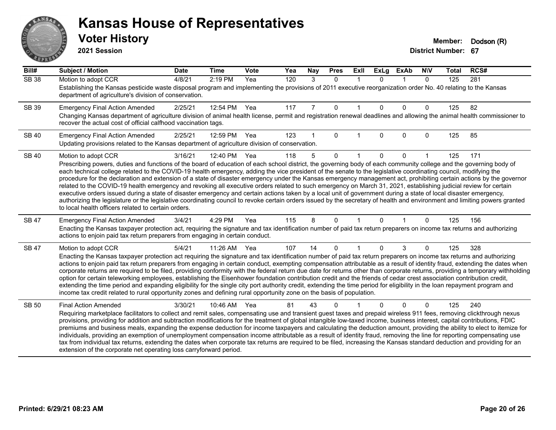# ANS **PARTIE**

#### **Kansas House of Representatives**

**2021 Session**

| Bill#        | <b>Subject / Motion</b>                                                                                                                                                                                                                                                                                                                                                                                                                                                                                                                                                                                                                                                                                                                                                                                                                                                                                                                                                                                                                                                                                          | <b>Date</b> | <b>Time</b> | Vote | Yea | Nay | <b>Pres</b>  | ExII        | <b>ExLg</b> | <b>ExAb</b> | <b>NIV</b> | <b>Total</b> | RCS# |
|--------------|------------------------------------------------------------------------------------------------------------------------------------------------------------------------------------------------------------------------------------------------------------------------------------------------------------------------------------------------------------------------------------------------------------------------------------------------------------------------------------------------------------------------------------------------------------------------------------------------------------------------------------------------------------------------------------------------------------------------------------------------------------------------------------------------------------------------------------------------------------------------------------------------------------------------------------------------------------------------------------------------------------------------------------------------------------------------------------------------------------------|-------------|-------------|------|-----|-----|--------------|-------------|-------------|-------------|------------|--------------|------|
| <b>SB 38</b> | Motion to adopt CCR<br>Establishing the Kansas pesticide waste disposal program and implementing the provisions of 2011 executive reorganization order No. 40 relating to the Kansas<br>department of agriculture's division of conservation.                                                                                                                                                                                                                                                                                                                                                                                                                                                                                                                                                                                                                                                                                                                                                                                                                                                                    | 4/8/21      | 2:19 PM     | Yea  | 120 | 3   | $\mathbf{0}$ | $\mathbf 1$ | $\Omega$    | $\mathbf 1$ | $\Omega$   | 125          | 281  |
| SB 39        | <b>Emergency Final Action Amended</b><br>Changing Kansas department of agriculture division of animal health license, permit and registration renewal deadlines and allowing the animal health commissioner to<br>recover the actual cost of official calfhood vaccination tags.                                                                                                                                                                                                                                                                                                                                                                                                                                                                                                                                                                                                                                                                                                                                                                                                                                 | 2/25/21     | 12:54 PM    | Yea  | 117 | 7   | $\mathbf 0$  |             | $\Omega$    | $\Omega$    | 0          | 125          | 82   |
| <b>SB 40</b> | <b>Emergency Final Action Amended</b><br>Updating provisions related to the Kansas department of agriculture division of conservation.                                                                                                                                                                                                                                                                                                                                                                                                                                                                                                                                                                                                                                                                                                                                                                                                                                                                                                                                                                           | 2/25/21     | 12:59 PM    | Yea  | 123 |     | $\Omega$     |             | $\Omega$    | $\Omega$    | $\Omega$   | 125          | 85   |
| <b>SB 40</b> | Motion to adopt CCR<br>Prescribing powers, duties and functions of the board of education of each school district, the governing body of each community college and the governing body of<br>each technical college related to the COVID-19 health emergency, adding the vice president of the senate to the legislative coordinating council, modifying the<br>procedure for the declaration and extension of a state of disaster emergency under the Kansas emergency management act, prohibiting certain actions by the governor<br>related to the COVID-19 health emergency and revoking all executive orders related to such emergency on March 31, 2021, establishing judicial review for certain<br>executive orders issued during a state of disaster emergency and certain actions taken by a local unit of government during a state of local disaster emergency,<br>authorizing the legislature or the legislative coordinating council to revoke certain orders issued by the secretary of health and environment and limiting powers granted<br>to local health officers related to certain orders. | 3/16/21     | 12:40 PM    | Yea  | 118 | 5   | $\Omega$     |             | $\Omega$    | $\Omega$    |            | 125          | 171  |
| <b>SB47</b>  | <b>Emergency Final Action Amended</b><br>Enacting the Kansas taxpayer protection act, requiring the signature and tax identification number of paid tax return preparers on income tax returns and authorizing<br>actions to enjoin paid tax return preparers from engaging in certain conduct.                                                                                                                                                                                                                                                                                                                                                                                                                                                                                                                                                                                                                                                                                                                                                                                                                  | 3/4/21      | 4:29 PM     | Yea  | 115 | 8   | $\Omega$     |             | $\Omega$    |             | $\Omega$   | 125          | 156  |
| <b>SB47</b>  | Motion to adopt CCR<br>Enacting the Kansas taxpayer protection act requiring the signature and tax identification number of paid tax return preparers on income tax returns and authorizing<br>actions to enjoin paid tax return preparers from engaging in certain conduct, exempting compensation attributable as a result of identity fraud, extending the dates when<br>corporate returns are required to be filed, providing conformity with the federal return due date for returns other than corporate returns, providing a temporary withholding<br>option for certain teleworking employees, establishing the Eisenhower foundation contribution credit and the friends of cedar crest association contribution credit,<br>extending the time period and expanding eligibility for the single city port authority credit, extending the time period for eligibility in the loan repayment program and<br>income tax credit related to rural opportunity zones and defining rural opportunity zone on the basis of population.                                                                          | 5/4/21      | 11:26 AM    | Yea  | 107 | 14  | 0            |             | $\Omega$    | 3           | 0          | 125          | 328  |
| <b>SB 50</b> | <b>Final Action Amended</b><br>Requiring marketplace facilitators to collect and remit sales, compensating use and transient guest taxes and prepaid wireless 911 fees, removing clickthrough nexus<br>provisions, providing for addition and subtraction modifications for the treatment of global intangible low-taxed income, business interest, capital contributions, FDIC<br>premiums and business meals, expanding the expense deduction for income taxpayers and calculating the deduction amount, providing the ability to elect to itemize for<br>individuals, providing an exemption of unemployment compensation income attributable as a result of identity fraud, removing the line for reporting compensating use<br>tax from individual tax returns, extending the dates when corporate tax returns are required to be filed, increasing the Kansas standard deduction and providing for an<br>extension of the corporate net operating loss carryforward period.                                                                                                                                | 3/30/21     | 10:46 AM    | Yea  | 81  | 43  | 0            |             |             | $\Omega$    | $\Omega$   | 125          | 240  |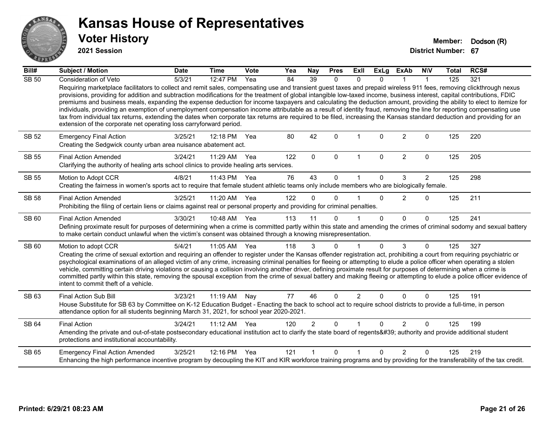

**2021 Session**

| Bill#        | <b>Subject / Motion</b>                                                                                                                                                                                                                                                                                                                                                                                                                                                                                                                                                                                                                                                                                                                                                                                                                                                                                                                            | <b>Date</b> | <b>Time</b>  | <b>Vote</b> | Yea | <b>Nay</b>     | <b>Pres</b>  | <b>Exll</b>    | <b>ExLg</b>  | <b>ExAb</b>    | <b>NIV</b>     | <b>Total</b> | RCS# |
|--------------|----------------------------------------------------------------------------------------------------------------------------------------------------------------------------------------------------------------------------------------------------------------------------------------------------------------------------------------------------------------------------------------------------------------------------------------------------------------------------------------------------------------------------------------------------------------------------------------------------------------------------------------------------------------------------------------------------------------------------------------------------------------------------------------------------------------------------------------------------------------------------------------------------------------------------------------------------|-------------|--------------|-------------|-----|----------------|--------------|----------------|--------------|----------------|----------------|--------------|------|
| <b>SB 50</b> | Consideration of Veto                                                                                                                                                                                                                                                                                                                                                                                                                                                                                                                                                                                                                                                                                                                                                                                                                                                                                                                              | 5/3/21      | 12:47 PM     | Yea         | 84  | 39             | $\mathbf{0}$ | $\Omega$       | $\Omega$     |                |                | 125          | 321  |
|              | Requiring marketplace facilitators to collect and remit sales, compensating use and transient guest taxes and prepaid wireless 911 fees, removing clickthrough nexus<br>provisions, providing for addition and subtraction modifications for the treatment of global intangible low-taxed income, business interest, capital contributions, FDIC<br>premiums and business meals, expanding the expense deduction for income taxpayers and calculating the deduction amount, providing the ability to elect to itemize for<br>individuals, providing an exemption of unemployment compensation income attributable as a result of identity fraud, removing the line for reporting compensating use<br>tax from individual tax returns, extending the dates when corporate tax returns are required to be filed, increasing the Kansas standard deduction and providing for an<br>extension of the corporate net operating loss carryforward period. |             |              |             |     |                |              |                |              |                |                |              |      |
| SB 52        | <b>Emergency Final Action</b><br>Creating the Sedgwick county urban area nuisance abatement act.                                                                                                                                                                                                                                                                                                                                                                                                                                                                                                                                                                                                                                                                                                                                                                                                                                                   | 3/25/21     | 12:18 PM     | Yea         | 80  | 42             | $\Omega$     |                | $\Omega$     | $\overline{2}$ | $\Omega$       | 125          | 220  |
| <b>SB 55</b> | <b>Final Action Amended</b><br>Clarifying the authority of healing arts school clinics to provide healing arts services.                                                                                                                                                                                                                                                                                                                                                                                                                                                                                                                                                                                                                                                                                                                                                                                                                           | 3/24/21     | 11:29 AM     | Yea         | 122 | $\Omega$       | $\mathbf{0}$ | $\mathbf 1$    | $\Omega$     | $\overline{2}$ | $\Omega$       | 125          | 205  |
| <b>SB 55</b> | Motion to Adopt CCR                                                                                                                                                                                                                                                                                                                                                                                                                                                                                                                                                                                                                                                                                                                                                                                                                                                                                                                                | 4/8/21      | 11:43 PM     | Yea         | 76  | 43             | $\Omega$     |                | $\Omega$     | 3              | $\overline{2}$ | 125          | 298  |
|              | Creating the fairness in women's sports act to require that female student athletic teams only include members who are biologically female.                                                                                                                                                                                                                                                                                                                                                                                                                                                                                                                                                                                                                                                                                                                                                                                                        |             |              |             |     |                |              |                |              |                |                |              |      |
| <b>SB 58</b> | <b>Final Action Amended</b>                                                                                                                                                                                                                                                                                                                                                                                                                                                                                                                                                                                                                                                                                                                                                                                                                                                                                                                        | 3/25/21     | 11:20 AM Yea |             | 122 | $\Omega$       | $\Omega$     |                | $\Omega$     | $\overline{2}$ | $\Omega$       | 125          | 211  |
|              | Prohibiting the filing of certain liens or claims against real or personal property and providing for criminal penalties.                                                                                                                                                                                                                                                                                                                                                                                                                                                                                                                                                                                                                                                                                                                                                                                                                          |             |              |             |     |                |              |                |              |                |                |              |      |
| SB 60        | <b>Final Action Amended</b>                                                                                                                                                                                                                                                                                                                                                                                                                                                                                                                                                                                                                                                                                                                                                                                                                                                                                                                        | 3/30/21     | 10:48 AM Yea |             | 113 | 11             | $\Omega$     |                | $\Omega$     | $\Omega$       | $\Omega$       | 125          | 241  |
|              | Defining proximate result for purposes of determining when a crime is committed partly within this state and amending the crimes of criminal sodomy and sexual battery<br>to make certain conduct unlawful when the victim's consent was obtained through a knowing misrepresentation.                                                                                                                                                                                                                                                                                                                                                                                                                                                                                                                                                                                                                                                             |             |              |             |     |                |              |                |              |                |                |              |      |
| SB 60        | Motion to adopt CCR                                                                                                                                                                                                                                                                                                                                                                                                                                                                                                                                                                                                                                                                                                                                                                                                                                                                                                                                | 5/4/21      | 11:05 AM Yea |             | 118 | 3              | $\mathbf{0}$ |                | $\Omega$     | 3              | $\mathbf{0}$   | 125          | 327  |
|              | Creating the crime of sexual extortion and requiring an offender to register under the Kansas offender registration act, prohibiting a court from requiring psychiatric or<br>psychological examinations of an alleged victim of any crime, increasing criminal penalties for fleeing or attempting to elude a police officer when operating a stolen<br>vehicle, committing certain driving violations or causing a collision involving another driver, defining proximate result for purposes of determining when a crime is<br>committed partly within this state, removing the spousal exception from the crime of sexual battery and making fleeing or attempting to elude a police officer evidence of<br>intent to commit theft of a vehicle.                                                                                                                                                                                               |             |              |             |     |                |              |                |              |                |                |              |      |
| SB 63        | Final Action Sub Bill                                                                                                                                                                                                                                                                                                                                                                                                                                                                                                                                                                                                                                                                                                                                                                                                                                                                                                                              | 3/23/21     | 11:19 AM Nay |             | 77  | 46             | $\Omega$     | $\overline{2}$ | $\Omega$     | $\Omega$       | $\Omega$       | 125          | 191  |
|              | House Substitute for SB 63 by Committee on K-12 Education Budget - Enacting the back to school act to require school districts to provide a full-time, in person<br>attendance option for all students beginning March 31, 2021, for school year 2020-2021.                                                                                                                                                                                                                                                                                                                                                                                                                                                                                                                                                                                                                                                                                        |             |              |             |     |                |              |                |              |                |                |              |      |
| <b>SB 64</b> | <b>Final Action</b>                                                                                                                                                                                                                                                                                                                                                                                                                                                                                                                                                                                                                                                                                                                                                                                                                                                                                                                                | 3/24/21     | 11:12 AM     | Yea         | 120 | $\overline{2}$ | $\Omega$     |                | $\Omega$     | 2              | $\mathbf{0}$   | 125          | 199  |
|              | Amending the private and out-of-state postsecondary educational institution act to clarify the state board of regents' authority and provide additional student<br>protections and institutional accountability.                                                                                                                                                                                                                                                                                                                                                                                                                                                                                                                                                                                                                                                                                                                                   |             |              |             |     |                |              |                |              |                |                |              |      |
| SB 65        | <b>Emergency Final Action Amended</b>                                                                                                                                                                                                                                                                                                                                                                                                                                                                                                                                                                                                                                                                                                                                                                                                                                                                                                              | 3/25/21     | 12:16 PM     | Yea         | 121 |                | $\Omega$     |                | <sup>n</sup> | $\mathcal{P}$  | $\Omega$       | 125          | 219  |
|              | Enhancing the high performance incentive program by decoupling the KIT and KIR workforce training programs and by providing for the transferability of the tax credit.                                                                                                                                                                                                                                                                                                                                                                                                                                                                                                                                                                                                                                                                                                                                                                             |             |              |             |     |                |              |                |              |                |                |              |      |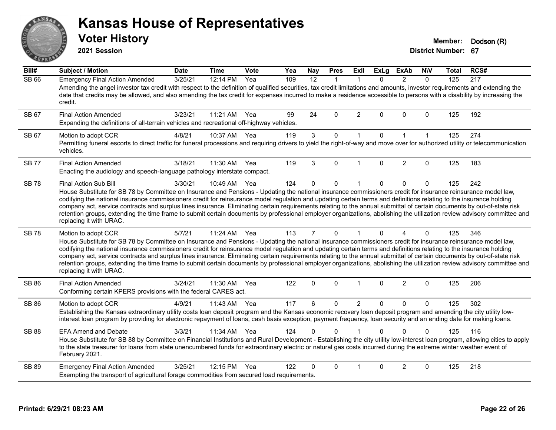**2021 Session**

**Voter History Member: Dodson** (R)

| Bill#        | <b>Subject / Motion</b>                                                                                                                                                                                                                                                                                                                                                                                                                                                                                                                                                                                                                                                                                                                        | <b>Date</b> | <b>Time</b> | Vote | Yea | <b>Nay</b>     | <b>Pres</b>  | <b>ExII</b>    | <b>ExLg</b> | <b>ExAb</b>    | <b>NIV</b>   | Total | RCS# |
|--------------|------------------------------------------------------------------------------------------------------------------------------------------------------------------------------------------------------------------------------------------------------------------------------------------------------------------------------------------------------------------------------------------------------------------------------------------------------------------------------------------------------------------------------------------------------------------------------------------------------------------------------------------------------------------------------------------------------------------------------------------------|-------------|-------------|------|-----|----------------|--------------|----------------|-------------|----------------|--------------|-------|------|
| <b>SB 66</b> | <b>Emergency Final Action Amended</b><br>Amending the angel investor tax credit with respect to the definition of qualified securities, tax credit limitations and amounts, investor requirements and extending the<br>date that credits may be allowed, and also amending the tax credit for expenses incurred to make a residence accessible to persons with a disability by increasing the<br>credit.                                                                                                                                                                                                                                                                                                                                       | 3/25/21     | 12:14 PM    | Yea  | 109 | 12             | $\mathbf{1}$ |                | $\Omega$    | $\mathcal{P}$  | $\Omega$     | 125   | 217  |
| SB 67        | <b>Final Action Amended</b><br>Expanding the definitions of all-terrain vehicles and recreational off-highway vehicles.                                                                                                                                                                                                                                                                                                                                                                                                                                                                                                                                                                                                                        | 3/23/21     | 11:21 AM    | Yea  | 99  | 24             | 0            | 2              | 0           | $\Omega$       | $\mathbf 0$  | 125   | 192  |
| SB 67        | Motion to adopt CCR<br>Permitting funeral escorts to direct traffic for funeral processions and requiring drivers to yield the right-of-way and move over for authorized utility or telecommunication<br>vehicles.                                                                                                                                                                                                                                                                                                                                                                                                                                                                                                                             | 4/8/21      | 10:37 AM    | Yea  | 119 | $\mathbf{3}$   | $\mathbf 0$  | $\mathbf{1}$   | $\Omega$    | $\mathbf{1}$   | $\mathbf{1}$ | 125   | 274  |
| <b>SB 77</b> | <b>Final Action Amended</b><br>Enacting the audiology and speech-language pathology interstate compact.                                                                                                                                                                                                                                                                                                                                                                                                                                                                                                                                                                                                                                        | 3/18/21     | 11:30 AM    | Yea  | 119 | 3              | $\Omega$     |                | $\Omega$    | $\overline{2}$ | $\Omega$     | 125   | 183  |
| <b>SB78</b>  | Final Action Sub Bill<br>House Substitute for SB 78 by Committee on Insurance and Pensions - Updating the national insurance commissioners credit for insurance reinsurance model law,<br>codifying the national insurance commissioners credit for reinsurance model regulation and updating certain terms and definitions relating to the insurance holding<br>company act, service contracts and surplus lines insurance. Eliminating certain requirements relating to the annual submittal of certain documents by out-of-state risk<br>retention groups, extending the time frame to submit certain documents by professional employer organizations, abolishing the utilization review advisory committee and<br>replacing it with URAC. | 3/30/21     | 10:49 AM    | Yea  | 124 | $\Omega$       | 0            | $\mathbf{1}$   | $\Omega$    | $\mathbf{0}$   | $\mathbf 0$  | 125   | 242  |
| <b>SB78</b>  | Motion to adopt CCR<br>House Substitute for SB 78 by Committee on Insurance and Pensions - Updating the national insurance commissioners credit for insurance reinsurance model law,<br>codifying the national insurance commissioners credit for reinsurance model regulation and updating certain terms and definitions relating to the insurance holding<br>company act, service contracts and surplus lines insurance. Eliminating certain requirements relating to the annual submittal of certain documents by out-of-state risk<br>retention groups, extending the time frame to submit certain documents by professional employer organizations, abolishing the utilization review advisory committee and<br>replacing it with URAC.   | 5/7/21      | 11:24 AM    | Yea  | 113 | $\overline{7}$ | $\mathbf{0}$ | $\mathbf{1}$   | $\Omega$    | $\overline{A}$ | $\Omega$     | 125   | 346  |
| <b>SB 86</b> | <b>Final Action Amended</b><br>Conforming certain KPERS provisions with the federal CARES act.                                                                                                                                                                                                                                                                                                                                                                                                                                                                                                                                                                                                                                                 | 3/24/21     | 11:30 AM    | Yea  | 122 | $\Omega$       | $\Omega$     | $\mathbf 1$    | $\Omega$    | $\overline{2}$ | $\Omega$     | 125   | 206  |
| <b>SB 86</b> | Motion to adopt CCR<br>Establishing the Kansas extraordinary utility costs loan deposit program and the Kansas economic recovery loan deposit program and amending the city utility low-<br>interest loan program by providing for electronic repayment of loans, cash basis exception, payment frequency, loan security and an ending date for making loans.                                                                                                                                                                                                                                                                                                                                                                                  | 4/9/21      | 11:43 AM    | Yea  | 117 | 6              | 0            | $\overline{2}$ | 0           | $\mathbf{0}$   | $\Omega$     | 125   | 302  |
| <b>SB 88</b> | <b>EFA Amend and Debate</b><br>House Substitute for SB 88 by Committee on Financial Institutions and Rural Development - Establishing the city utility low-interest loan program, allowing cities to apply<br>to the state treasurer for loans from state unencumbered funds for extraordinary electric or natural gas costs incurred during the extreme winter weather event of<br>February 2021.                                                                                                                                                                                                                                                                                                                                             | 3/3/21      | 11:34 AM    | Yea  | 124 | 0              | $\Omega$     |                | $\Omega$    | $\Omega$       | $\Omega$     | 125   | 116  |
| SB 89        | <b>Emergency Final Action Amended</b><br>Exempting the transport of agricultural forage commodities from secured load requirements.                                                                                                                                                                                                                                                                                                                                                                                                                                                                                                                                                                                                            | 3/25/21     | 12:15 PM    | Yea  | 122 | 0              | $\Omega$     |                | $\Omega$    | $\overline{2}$ | $\Omega$     | 125   | 218  |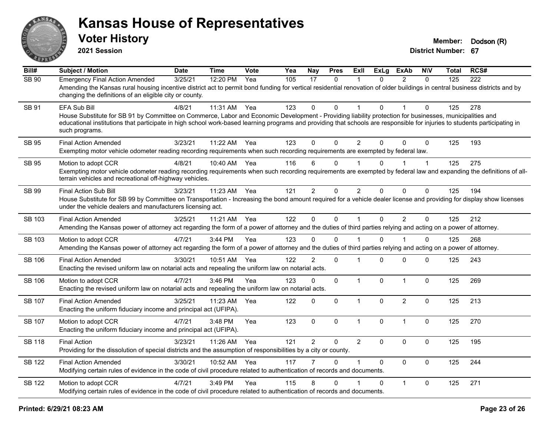

**2021 Session**

| Bill#         | <b>Subject / Motion</b>                                                                                                                                                                                                                                                                                                                                                        | <b>Date</b> | <b>Time</b> | Vote | Yea | Nay            | <b>Pres</b>  | ExIl           | <b>ExLg</b>  | <b>ExAb</b>    | <b>NIV</b>   | <b>Total</b> | RCS# |
|---------------|--------------------------------------------------------------------------------------------------------------------------------------------------------------------------------------------------------------------------------------------------------------------------------------------------------------------------------------------------------------------------------|-------------|-------------|------|-----|----------------|--------------|----------------|--------------|----------------|--------------|--------------|------|
| <b>SB 90</b>  | <b>Emergency Final Action Amended</b><br>Amending the Kansas rural housing incentive district act to permit bond funding for vertical residential renovation of older buildings in central business districts and by<br>changing the definitions of an eligible city or county.                                                                                                | 3/25/21     | 12:20 PM    | Yea  | 105 | 17             | $\mathbf{0}$ | 1              | $\Omega$     | $\overline{2}$ | $\Omega$     | 125          | 222  |
| SB 91         | <b>EFA Sub Bill</b><br>House Substitute for SB 91 by Committee on Commerce, Labor and Economic Development - Providing liability protection for businesses, municipalities and<br>educational institutions that participate in high school work-based learning programs and providing that schools are responsible for injuries to students participating in<br>such programs. | 4/8/21      | 11:31 AM    | Yea  | 123 | 0              | $\Omega$     |                | $\Omega$     |                | 0            | 125          | 278  |
| SB 95         | <b>Final Action Amended</b><br>Exempting motor vehicle odometer reading recording requirements when such recording requirements are exempted by federal law.                                                                                                                                                                                                                   | 3/23/21     | 11:22 AM    | Yea  | 123 | 0              | $\Omega$     | $\overline{2}$ | $\Omega$     | $\Omega$       | $\Omega$     | 125          | 193  |
| <b>SB 95</b>  | Motion to adopt CCR<br>Exempting motor vehicle odometer reading recording requirements when such recording requirements are exempted by federal law and expanding the definitions of all-<br>terrain vehicles and recreational off-highway vehicles.                                                                                                                           | 4/8/21      | 10:40 AM    | Yea  | 116 | 6              | $\Omega$     |                | $\Omega$     |                | $\mathbf{1}$ | 125          | 275  |
| SB 99         | <b>Final Action Sub Bill</b><br>House Substitute for SB 99 by Committee on Transportation - Increasing the bond amount required for a vehicle dealer license and providing for display show licenses<br>under the vehicle dealers and manufacturers licensing act.                                                                                                             | 3/23/21     | 11:23 AM    | Yea  | 121 | $\overline{2}$ | $\mathbf 0$  | $\overline{2}$ | $\Omega$     | $\mathbf 0$    | $\mathbf 0$  | 125          | 194  |
| SB 103        | <b>Final Action Amended</b><br>Amending the Kansas power of attorney act regarding the form of a power of attorney and the duties of third parties relying and acting on a power of attorney.                                                                                                                                                                                  | 3/25/21     | 11:21 AM    | Yea  | 122 | $\mathbf 0$    | $\mathbf 0$  | $\mathbf{1}$   | $\mathbf 0$  | $\overline{2}$ | $\mathbf 0$  | 125          | 212  |
| SB 103        | Motion to adopt CCR<br>Amending the Kansas power of attorney act regarding the form of a power of attorney and the duties of third parties relying and acting on a power of attorney.                                                                                                                                                                                          | 4/7/21      | 3:44 PM     | Yea  | 123 | 0              | $\Omega$     | 1              | 0            | 1              | 0            | 125          | 268  |
| <b>SB 106</b> | <b>Final Action Amended</b><br>Enacting the revised uniform law on notarial acts and repealing the uniform law on notarial acts.                                                                                                                                                                                                                                               | 3/30/21     | 10:51 AM    | Yea  | 122 | $\overline{2}$ | $\mathbf 0$  | 1              | $\Omega$     | $\mathbf 0$    | $\mathbf 0$  | 125          | 243  |
| <b>SB 106</b> | Motion to adopt CCR<br>Enacting the revised uniform law on notarial acts and repealing the uniform law on notarial acts.                                                                                                                                                                                                                                                       | 4/7/21      | 3:46 PM     | Yea  | 123 | 0              | $\Omega$     | $\mathbf{1}$   | $\mathbf{0}$ | $\mathbf{1}$   | $\Omega$     | 125          | 269  |
| <b>SB 107</b> | <b>Final Action Amended</b><br>Enacting the uniform fiduciary income and principal act (UFIPA).                                                                                                                                                                                                                                                                                | 3/25/21     | 11:23 AM    | Yea  | 122 | 0              | $\mathbf 0$  | $\mathbf{1}$   | $\Omega$     | $\overline{2}$ | $\Omega$     | 125          | 213  |
| <b>SB 107</b> | Motion to adopt CCR<br>Enacting the uniform fiduciary income and principal act (UFIPA).                                                                                                                                                                                                                                                                                        | 4/7/21      | 3:48 PM     | Yea  | 123 | 0              | $\mathbf 0$  | $\mathbf{1}$   | $\mathbf 0$  | $\mathbf{1}$   | $\mathbf 0$  | 125          | 270  |
| <b>SB 118</b> | <b>Final Action</b><br>Providing for the dissolution of special districts and the assumption of responsibilities by a city or county.                                                                                                                                                                                                                                          | 3/23/21     | 11:26 AM    | Yea  | 121 | $\overline{2}$ | 0            | $\overline{2}$ | $\mathbf{0}$ | 0              | $\mathbf 0$  | 125          | 195  |
| <b>SB 122</b> | <b>Final Action Amended</b><br>Modifying certain rules of evidence in the code of civil procedure related to authentication of records and documents.                                                                                                                                                                                                                          | 3/30/21     | 10:52 AM    | Yea  | 117 |                | $\Omega$     | $\mathbf 1$    | $\Omega$     | $\Omega$       | $\Omega$     | 125          | 244  |
| <b>SB 122</b> | Motion to adopt CCR<br>Modifying certain rules of evidence in the code of civil procedure related to authentication of records and documents.                                                                                                                                                                                                                                  | 4/7/21      | 3:49 PM     | Yea  | 115 | 8              | 0            |                | $\Omega$     | $\mathbf{1}$   | $\mathbf 0$  | 125          | 271  |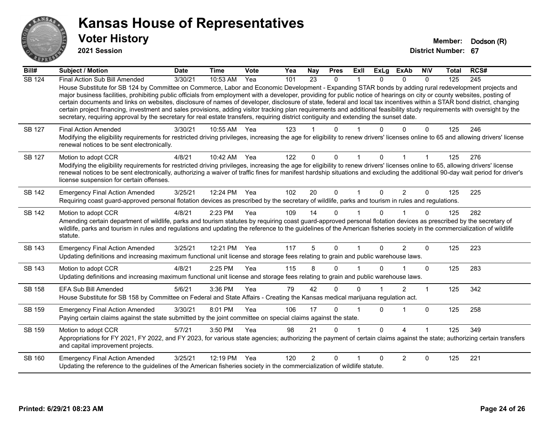

**2021 Session**

| $\overline{Bill#}$ | <b>Subject / Motion</b>                                                                                                                                                                                                                                                                                                                                                                                                                                                                                                                                                                                                                                                                                                                                                                                                                                              | <b>Date</b> | <b>Time</b> | Vote         | Yea | Nay            | <b>Pres</b> | <b>ExII</b> | <b>ExLg</b>  | <b>ExAb</b>    | <b>NIV</b> | Total | RCS# |
|--------------------|----------------------------------------------------------------------------------------------------------------------------------------------------------------------------------------------------------------------------------------------------------------------------------------------------------------------------------------------------------------------------------------------------------------------------------------------------------------------------------------------------------------------------------------------------------------------------------------------------------------------------------------------------------------------------------------------------------------------------------------------------------------------------------------------------------------------------------------------------------------------|-------------|-------------|--------------|-----|----------------|-------------|-------------|--------------|----------------|------------|-------|------|
| <b>SB 124</b>      | Final Action Sub Bill Amended<br>House Substitute for SB 124 by Committee on Commerce, Labor and Economic Development - Expanding STAR bonds by adding rural redevelopment projects and<br>major business facilities, prohibiting public officials from employment with a developer, providing for public notice of hearings on city or county websites, posting of<br>certain documents and links on websites, disclosure of names of developer, disclosure of state, federal and local tax incentives within a STAR bond district, changing<br>certain project financing, investment and sales provisions, adding visitor tracking plan requirements and additional feasibility study requirements with oversight by the<br>secretary, requiring approval by the secretary for real estate transfers, requiring district contiguity and extending the sunset date. | 3/30/21     | $10:53$ AM  | $\bar{Y}$ ea | 101 | 23             | $\Omega$    | 1           | $\Omega$     | $\Omega$       | $\Omega$   | 125   | 245  |
| <b>SB 127</b>      | <b>Final Action Amended</b><br>Modifying the eligibility requirements for restricted driving privileges, increasing the age for eligibility to renew drivers' licenses online to 65 and allowing drivers' license<br>renewal notices to be sent electronically.                                                                                                                                                                                                                                                                                                                                                                                                                                                                                                                                                                                                      | 3/30/21     | 10:55 AM    | Yea          | 123 |                | 0           |             |              |                | $\Omega$   | 125   | 246  |
| SB 127             | Motion to adopt CCR<br>Modifying the eligibility requirements for restricted driving privileges, increasing the age for eligibility to renew drivers' licenses online to 65, allowing drivers' license<br>renewal notices to be sent electronically, authorizing a waiver of traffic fines for manifest hardship situations and excluding the additional 90-day wait period for driver's<br>license suspension for certain offenses.                                                                                                                                                                                                                                                                                                                                                                                                                                 | 4/8/21      | 10:42 AM    | Yea          | 122 | $\Omega$       | $\Omega$    | 1           | 0            |                |            | 125   | 276  |
| SB 142             | <b>Emergency Final Action Amended</b><br>Requiring coast guard-approved personal flotation devices as prescribed by the secretary of wildlife, parks and tourism in rules and regulations.                                                                                                                                                                                                                                                                                                                                                                                                                                                                                                                                                                                                                                                                           | 3/25/21     | 12:24 PM    | Yea          | 102 | 20             | $\Omega$    | 1           | 0            | 2              | $\Omega$   | 125   | 225  |
| SB 142             | Motion to adopt CCR<br>Amending certain department of wildlife, parks and tourism statutes by requiring coast guard-approved personal flotation devices as prescribed by the secretary of<br>wildlife, parks and tourism in rules and regulations and updating the reference to the guidelines of the American fisheries society in the commercialization of wildlife<br>statute.                                                                                                                                                                                                                                                                                                                                                                                                                                                                                    | 4/8/21      | 2:23 PM     | Yea          | 109 | 14             | $\Omega$    |             | <sup>n</sup> |                | $\Omega$   | 125   | 282  |
| SB 143             | <b>Emergency Final Action Amended</b><br>Updating definitions and increasing maximum functional unit license and storage fees relating to grain and public warehouse laws.                                                                                                                                                                                                                                                                                                                                                                                                                                                                                                                                                                                                                                                                                           | 3/25/21     | 12:21 PM    | Yea          | 117 | 5              | $\Omega$    | 1           | 0            | 2              | $\Omega$   | 125   | 223  |
| SB 143             | Motion to adopt CCR<br>Updating definitions and increasing maximum functional unit license and storage fees relating to grain and public warehouse laws.                                                                                                                                                                                                                                                                                                                                                                                                                                                                                                                                                                                                                                                                                                             | 4/8/21      | 2:25 PM     | Yea          | 115 | 8              | $\Omega$    |             | 0            |                | $\Omega$   | 125   | 283  |
| SB 158             | <b>EFA Sub Bill Amended</b><br>House Substitute for SB 158 by Committee on Federal and State Affairs - Creating the Kansas medical marijuana regulation act.                                                                                                                                                                                                                                                                                                                                                                                                                                                                                                                                                                                                                                                                                                         | 5/6/21      | 3:36 PM     | Yea          | 79  | 42             | $\Omega$    | 0           |              | $\overline{2}$ | 1          | 125   | 342  |
| SB 159             | <b>Emergency Final Action Amended</b><br>Paying certain claims against the state submitted by the joint committee on special claims against the state.                                                                                                                                                                                                                                                                                                                                                                                                                                                                                                                                                                                                                                                                                                               | 3/30/21     | 8:01 PM     | Yea          | 106 | 17             | $\Omega$    |             | $\Omega$     |                | $\Omega$   | 125   | 258  |
| SB 159             | Motion to adopt CCR<br>Appropriations for FY 2021, FY 2022, and FY 2023, for various state agencies; authorizing the payment of certain claims against the state; authorizing certain transfers<br>and capital improvement projects.                                                                                                                                                                                                                                                                                                                                                                                                                                                                                                                                                                                                                                 | 5/7/21      | 3:50 PM     | Yea          | 98  | 21             | $\Omega$    |             | 0            | 4              |            | 125   | 349  |
| SB 160             | <b>Emergency Final Action Amended</b><br>Updating the reference to the guidelines of the American fisheries society in the commercialization of wildlife statute.                                                                                                                                                                                                                                                                                                                                                                                                                                                                                                                                                                                                                                                                                                    | 3/25/21     | 12:19 PM    | Yea          | 120 | $\overline{2}$ | $\Omega$    |             | <sup>0</sup> | 2              | $\Omega$   | 125   | 221  |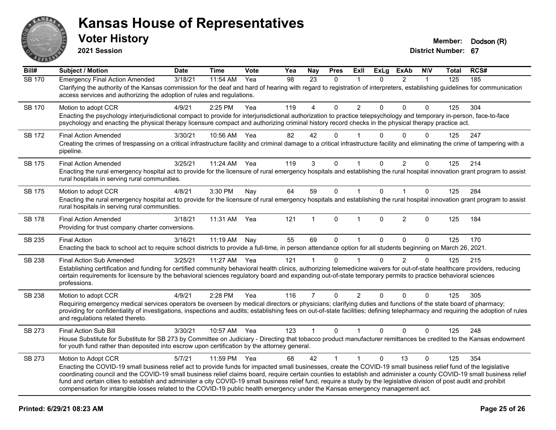

**2021 Session**

| Bill#         | <b>Subject / Motion</b>                                                                                                                                                                                                                                                                                                                                                                                                                                                                                                                                                                                                                                                       | <b>Date</b> | <b>Time</b> | Vote | Yea | <b>Nay</b>     | <b>Pres</b>  | ExIl           | <b>ExLg</b>  | <b>ExAb</b>    | <b>NIV</b>   | Total | RCS# |
|---------------|-------------------------------------------------------------------------------------------------------------------------------------------------------------------------------------------------------------------------------------------------------------------------------------------------------------------------------------------------------------------------------------------------------------------------------------------------------------------------------------------------------------------------------------------------------------------------------------------------------------------------------------------------------------------------------|-------------|-------------|------|-----|----------------|--------------|----------------|--------------|----------------|--------------|-------|------|
| <b>SB 170</b> | <b>Emergency Final Action Amended</b><br>Clarifying the authority of the Kansas commission for the deaf and hard of hearing with regard to registration of interpreters, establishing guidelines for communication<br>access services and authorizing the adoption of rules and regulations.                                                                                                                                                                                                                                                                                                                                                                                  | 3/18/21     | 11:54 AM    | Yea  | 98  | 23             | $\mathbf{0}$ | -1             | $\Omega$     | $\overline{2}$ | $\mathbf{1}$ | 125   | 185  |
| SB 170        | Motion to adopt CCR<br>Enacting the psychology interjurisdictional compact to provide for interjurisdictional authorization to practice telepsychology and temporary in-person, face-to-face<br>psychology and enacting the physical therapy licensure compact and authorizing criminal history record checks in the physical therapy practice act.                                                                                                                                                                                                                                                                                                                           | 4/9/21      | 2:25 PM     | Yea  | 119 | 4              | $\Omega$     | $\overline{2}$ | $\Omega$     | $\Omega$       | 0            | 125   | 304  |
| SB 172        | <b>Final Action Amended</b><br>Creating the crimes of trespassing on a critical infrastructure facility and criminal damage to a critical infrastructure facility and eliminating the crime of tampering with a<br>pipeline.                                                                                                                                                                                                                                                                                                                                                                                                                                                  | 3/30/21     | 10:56 AM    | Yea  | 82  | 42             | 0            |                | 0            | $\Omega$       | $\Omega$     | 125   | 247  |
| <b>SB 175</b> | <b>Final Action Amended</b><br>Enacting the rural emergency hospital act to provide for the licensure of rural emergency hospitals and establishing the rural hospital innovation grant program to assist<br>rural hospitals in serving rural communities.                                                                                                                                                                                                                                                                                                                                                                                                                    | 3/25/21     | 11:24 AM    | Yea  | 119 | 3              | 0            |                | $\Omega$     | $\overline{2}$ | 0            | 125   | 214  |
| <b>SB 175</b> | Motion to adopt CCR<br>Enacting the rural emergency hospital act to provide for the licensure of rural emergency hospitals and establishing the rural hospital innovation grant program to assist<br>rural hospitals in serving rural communities.                                                                                                                                                                                                                                                                                                                                                                                                                            | 4/8/21      | 3:30 PM     | Nay  | 64  | 59             | $\mathbf 0$  | $\mathbf{1}$   | $\Omega$     | $\mathbf{1}$   | $\mathbf 0$  | 125   | 284  |
| <b>SB 178</b> | <b>Final Action Amended</b><br>Providing for trust company charter conversions.                                                                                                                                                                                                                                                                                                                                                                                                                                                                                                                                                                                               | 3/18/21     | 11:31 AM    | Yea  | 121 | 1              | $\Omega$     | $\mathbf{1}$   | $\Omega$     | $\overline{2}$ | $\mathbf{0}$ | 125   | 184  |
| SB 235        | <b>Final Action</b><br>Enacting the back to school act to require school districts to provide a full-time, in person attendance option for all students beginning on March 26, 2021.                                                                                                                                                                                                                                                                                                                                                                                                                                                                                          | 3/16/21     | 11:19 AM    | Nay  | 55  | 69             | 0            | $\mathbf{1}$   | $\Omega$     | $\Omega$       | $\Omega$     | 125   | 170  |
| SB 238        | <b>Final Action Sub Amended</b><br>Establishing certification and funding for certified community behavioral health clinics, authorizing telemedicine waivers for out-of-state healthcare providers, reducing<br>certain requirements for licensure by the behavioral sciences regulatory board and expanding out-of-state temporary permits to practice behavioral sciences<br>professions.                                                                                                                                                                                                                                                                                  | 3/25/21     | 11:27 AM    | Yea  | 121 | 1              | $\mathbf{0}$ |                | $\Omega$     | $\overline{2}$ | 0            | 125   | 215  |
| SB 238        | Motion to adopt CCR<br>Requiring emergency medical services operators be overseen by medical directors or physicians; clarifying duties and functions of the state board of pharmacy;<br>providing for confidentiality of investigations, inspections and audits; establishing fees on out-of-state facilities; defining telepharmacy and requiring the adoption of rules<br>and regulations related thereto.                                                                                                                                                                                                                                                                 | 4/9/21      | 2:28 PM     | Yea  | 116 | $\overline{7}$ | 0            | $\overline{2}$ | $\Omega$     | 0              | $\mathbf 0$  | 125   | 305  |
| SB 273        | Final Action Sub Bill<br>House Substitute for Substitute for SB 273 by Committee on Judiciary - Directing that tobacco product manufacturer remittances be credited to the Kansas endowment<br>for youth fund rather than deposited into escrow upon certification by the attorney general.                                                                                                                                                                                                                                                                                                                                                                                   | 3/30/21     | 10:57 AM    | Yea  | 123 | $\mathbf{1}$   | $\Omega$     | $\mathbf 1$    | $\mathbf{0}$ | $\Omega$       | $\Omega$     | 125   | 248  |
| SB 273        | Motion to Adopt CCR<br>Enacting the COVID-19 small business relief act to provide funds for impacted small businesses, create the COVID-19 small business relief fund of the legislative<br>coordinating council and the COVID-19 small business relief claims board, require certain counties to establish and administer a county COVID-19 small business relief<br>fund and certain cities to establish and administer a city COVID-19 small business relief fund, require a study by the legislative division of post audit and prohibit<br>compensation for intangible losses related to the COVID-19 public health emergency under the Kansas emergency management act. | 5/7/21      | 11:59 PM    | Yea  | 68  | 42             | $\mathbf{1}$ | $\mathbf{1}$   | $\Omega$     | 13             | $\Omega$     | 125   | 354  |